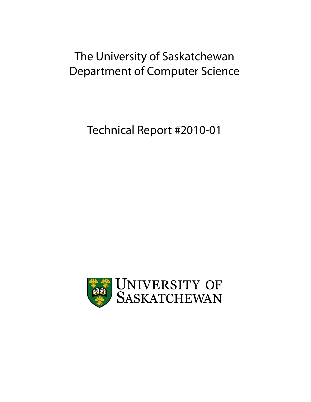# The University of Saskatchewan Department of Computer Science

Technical Report #2010-01

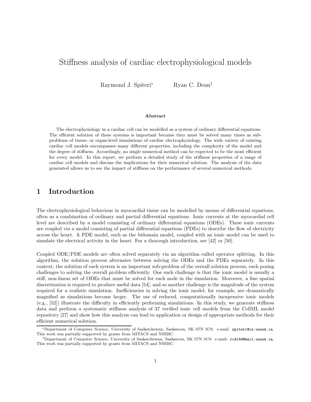# Stiffness analysis of cardiac electrophysiological models

Raymond J. Spiteri<sup>∗</sup> Ryan C. Dean<sup>†</sup>

#### Abstract

The electrophysiology in a cardiac cell can be modelled as a system of ordinary differential equations. The efficient solution of these systems is important because they must be solved many times as subproblems of tissue- or organ-level simulations of cardiac electrophysiology. The wide variety of existing cardiac cell models encompasses many different properties, including the complexity of the model and the degree of stiffness. Accordingly, no single numerical method can be expected to be the most efficient for every model. In this report, we perform a detailed study of the stiffness properties of a range of cardiac cell models and discuss the implications for their numerical solution. The analysis of the data generated allows us to see the impact of stiffness on the performance of several numerical methods.

## 1 Introduction

The electrophysiological behaviour in myocardial tissue can be modelled by means of differential equations, often as a combination of ordinary and partial differential equations. Ionic currents at the myocardial cell level are described by a model consisting of ordinary differential equations (ODEs). These ionic currents are coupled via a model consisting of partial differential equations (PDEs) to describe the flow of electricity across the heart. A PDE model, such as the bidomain model, coupled with an ionic model can be used to simulate the electrical activity in the heart. For a thorough introduction, see [42] or [50].

Coupled ODE/PDE models are often solved separately via an algorithm called operator splitting. In this algorithm, the solution process alternates between solving the ODEs and the PDEs separately. In this context, the solution of each system is an important sub-problem of the overall solution process, each posing challenges to solving the overall problem efficiently. One such challenge is that the ionic model is usually a stiff, non-linear set of ODEs that must be solved for each node in the simulation. Moreover, a fine spatial discretization is required to produce useful data [54], and so another challenge is the magnitude of the system required for a realistic simulation. Inefficiencies in solving the ionic model, for example, are dramatically magnified as simulations become larger. The use of reduced, computationally inexpensive ionic models (e.g., [52]) illustrate the difficulty in efficiently performing simulations. In this study, we generate stiffness data and perform a systematic stiffness analysis of 37 verified ionic cell models from the CellML model repository [27] and show how this analysis can lead to application or design of appropriate methods for their efficient numerical solution.

<sup>∗</sup>Department of Computer Science, University of Saskatchewan, Saskatoon, SK S7N 5C9. e-mail: spiteri@cs.usask.ca. This work was partially supported by grants from MITACS and NSERC.

<sup>†</sup>Department of Computer Science, University of Saskatchewan, Saskatoon, SK S7N 5C9. e-mail: rcd144@mail.usask.ca. This work was partially supported by grants from MITACS and NSERC.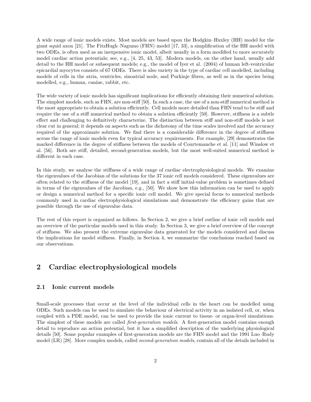A wide range of ionic models exists. Most models are based upon the Hodgkin–Huxley (HH) model for the giant squid axon [21]. The FitzHugh–Nagumo (FHN) model [17, 33], a simplification of the HH model with two ODEs, is often used as an inexpensive ionic model, albeit usually in a form modified to more accurately model cardiac action potentials; see, e.g., [4, 25, 43, 53]. Modern models, on the other hand, usually add detail to the HH model or subsequent models; e.g., the model of Iyer et al. (2004) of human left-ventricular epicardial myocytes consists of 67 ODEs. There is also variety in the type of cardiac cell modelled, including models of cells in the atria, ventricles, sinoatrial node, and Purkinje fibres, as well as in the species being modelled, e.g., human, canine, rabbit, etc.

The wide variety of ionic models has significant implications for efficiently obtaining their numerical solution. The simplest models, such as FHN, are non-stiff [50]. In such a case, the use of a non-stiff numerical method is the most appropriate to obtain a solution efficiently. Cell models more detailed than FHN tend to be stiff and require the use of a stiff numerical method to obtain a solution efficiently [50]. However, stiffness is a subtle effect and challenging to definitively characterize. The distinction between stiff and non-stiff models is not clear cut in general; it depends on aspects such as the dichotomy of the time scales involved and the accuracy required of the approximate solution. We find there is a considerable difference in the degree of stiffness across the range of ionic models even for typical accuracy requirements. For example, [29] demonstrates the marked difference in the degree of stiffness between the models of Courtemanche et al. [11] and Winslow et al. [56]. Both are stiff, detailed, second-generation models, but the most well-suited numerical method is different in each case.

In this study, we analyse the stiffness of a wide range of cardiac electrophysiological models. We examine the eigenvalues of the Jacobian of the solutions for the 37 ionic cell models considered. These eigenvalues are often related to the stiffness of the model [19], and in fact a stiff initial-value problem is sometimes defined in terms of the eigenvalues of the Jacobian, e.g., [50]. We show how this information can be used to apply or design a numerical method for a specific ionic cell model. We give special focus to numerical methods commonly used in cardiac electrophysiological simulations and demonstrate the efficiency gains that are possible through the use of eigenvalue data.

The rest of this report is organized as follows. In Section 2, we give a brief outline of ionic cell models and an overview of the particular models used in this study. In Section 3, we give a brief overview of the concept of stiffness. We also present the extreme eigenvalue data generated for the models considered and discuss the implications for model stiffness. Finally, in Section 4, we summarize the conclusions reached based on our observations.

# 2 Cardiac electrophysiological models

#### 2.1 Ionic current models

Small-scale processes that occur at the level of the individual cells in the heart can be modelled using ODEs. Such models can be used to simulate the behaviour of electrical activity in an isolated cell, or, when coupled with a PDE model, can be used to provide the ionic current to tissue- or organ-level simulations. The simplest of these models are called *first-generation models*. A first-generation model contains enough detail to reproduce an action potential, but it has a simplified description of the underlying physiological details [50]. Some popular examples of first-generation models are the FHN model and the 1991 Luo–Rudy model (LR) [28]. More complex models, called second-generation models, contain all of the details included in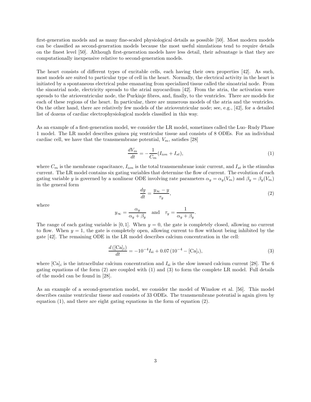first-generation models and as many fine-scaled physiological details as possible [50]. Most modern models can be classified as second-generation models because the most useful simulations tend to require details on the finest level [50]. Although first-generation models have less detail, their advantage is that they are computationally inexpensive relative to second-generation models.

The heart consists of different types of excitable cells, each having their own properties [42]. As such, most models are suited to particular type of cell in the heart. Normally, the electrical activity in the heart is initiated by a spontaneous electrical pulse emanating from specialized tissue called the sinoatrial node. From the sinoatrial node, electricity spreads to the atrial myocardium [42]. From the atria, the activation wave spreads to the atrioventricular node, the Purkinje fibres, and, finally, to the ventricles. There are models for each of these regions of the heart. In particular, there are numerous models of the atria and the ventricles. On the other hand, there are relatively few models of the atrioventricular node; see, e.g., [42], for a detailed list of dozens of cardiac electrophysiological models classified in this way.

As an example of a first-generation model, we consider the LR model, sometimes called the Luo–Rudy Phase 1 model. The LR model describes guinea pig ventricular tissue and consists of 8 ODEs. For an individual cardiac cell, we have that the transmembrane potential,  $V_m$ , satisfies [28]

$$
\frac{dV_m}{dt} = -\frac{1}{C_m}(I_{ion} + I_{st}),\tag{1}
$$

where  $C_m$  is the membrane capacitance,  $I_{ion}$  is the total transmembrane ionic current, and  $I_{st}$  is the stimulus current. The LR model contains six gating variables that determine the flow of current. The evolution of each gating variable y is governed by a nonlinear ODE involving rate parameters  $\alpha_y = \alpha_y(V_m)$  and  $\beta_y = \beta_y(V_m)$ in the general form

$$
\frac{dy}{dt} = \frac{y_{\infty} - y}{\tau_y},\tag{2}
$$

where

$$
y_{\infty} = \frac{\alpha_y}{\alpha_y + \beta_y}
$$
 and  $\tau_y = \frac{1}{\alpha_y + \beta_y}$ .

The range of each gating variable is [0, 1]. When  $y = 0$ , the gate is completely closed, allowing no current to flow. When  $y = 1$ , the gate is completely open, allowing current to flow without being inhibited by the gate [42]. The remaining ODE in the LR model describes calcium concentration in the cell:

$$
\frac{d\left(\left[\text{Ca}\right]_i\right)}{dt} = -10^{-4}I_{\text{si}} + 0.07\left(10^{-4} - \left[\text{Ca}\right]_i\right),\tag{3}
$$

where  $[Ca]_i$  is the intracellular calcium concentration and  $I_{si}$  is the slow inward calcium current [28]. The 6 gating equations of the form (2) are coupled with (1) and (3) to form the complete LR model. Full details of the model can be found in [28].

As an example of a second-generation model, we consider the model of Winslow et al. [56]. This model describes canine ventricular tissue and consists of 33 ODEs. The transmembrane potential is again given by equation  $(1)$ , and there are eight gating equations in the form of equation  $(2)$ .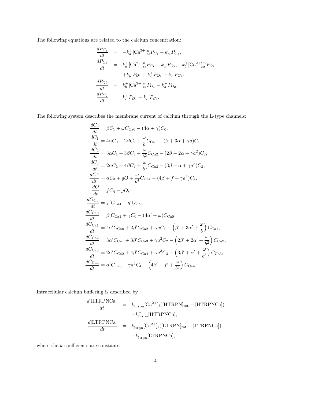The following equations are related to the calcium concentration:

$$
\frac{dP_{C_1}}{dt} = -k_a^+ [\text{Ca}^{2+}]_{\text{ss}}^n P_{C_1} + k_a^- P_{O_1},
$$
\n
$$
\frac{dP_{O_1}}{dt} = k_a^+ [\text{Ca}^{2+}]_{\text{ss}}^n P_{C_1} - k_a^- P_{O_1}, -k_b^+ [\text{Ca}^{2+}]_{\text{ss}}^m P_{O_1}
$$
\n
$$
+ k_b^- P_{O_2} - k_c^+ P_{O_1} + k_c^- P_{C_2},
$$
\n
$$
\frac{dP_{O_2}}{dt} = k_b^+ [\text{Ca}^{2+}]_{\text{ss}}^m P_{O_1} - k_b^- P_{O_2},
$$
\n
$$
\frac{dP_{C_2}}{dt} = k_c^+ P_{O_1} - k_c^- P_{C_2}.
$$

The following system describes the membrane current of calcium through the L-type channels:

$$
\frac{dC_{0}}{dt} = \beta C_{1} + \omega C_{\text{CaO}} - (4\alpha + \gamma)C_{0},
$$
\n
$$
\frac{dC_{1}}{dt} = 4\alpha C_{0} + 2\beta C_{2} + \frac{\omega}{b}C_{\text{Ca1}} - (\beta + 3\alpha + \gamma a)C_{1},
$$
\n
$$
\frac{dC_{2}}{dt} = 3\alpha C_{1} + 3\beta C_{3} + \frac{\omega}{b^{2}}C_{\text{Ca2}} - (2\beta + 2\alpha + \gamma a^{2})C_{2},
$$
\n
$$
\frac{dC_{3}}{dt} = 2\alpha C_{2} + 4\beta C_{4} + \frac{\omega}{b^{3}}C_{\text{Ca3}} - (3\beta + \alpha + \gamma a^{3})C_{3},
$$
\n
$$
\frac{dC_{4}}{dt} = \alpha C_{3} + gO + \frac{\omega}{b^{4}}C_{\text{Ca4}} - (4\beta + f + \gamma a^{4})C_{4},
$$
\n
$$
\frac{dO}{dt} = fC_{4} - gO,
$$
\n
$$
\frac{dO_{\text{Ca}}}{dt} = f'C_{\text{Ca4}} - g'O_{\text{Ca}},
$$
\n
$$
\frac{dC_{\text{Ca0}}}{dt} = \beta' C_{\text{Ca1}} + \gamma C_{0} - (4\alpha' + \omega)C_{\text{Ca0}},
$$
\n
$$
\frac{dC_{\text{Ca1}}}{dt} = 4\alpha' C_{\text{Ca0}} + 2\beta' C_{\text{Ca2}} + \gamma aC_{1} - (\beta' + 3\alpha' + \frac{\omega}{b}) C_{\text{Ca1}},
$$
\n
$$
\frac{dC_{\text{Ca2}}}{dt} = 3\alpha' C_{\text{Ca1}} + 3\beta' C_{\text{Ca3}} + \gamma a^{2} C_{2} - (2\beta' + 2\alpha' + \frac{\omega}{b^{2}}) C_{\text{Ca2}},
$$
\n
$$
\frac{dC_{\text{Ca3}}}{dt} = 2\alpha' C_{\text{Ca2}} + 4\beta' C_{\text{Ca4}} + \gamma a^{3} C_{3} - (3\beta' + \alpha' + \frac{\omega}{b^{3}}) C_{\text{Ca3}},
$$
\n
$$
\frac{dC_{\text{Ca4}}}{dt} = \alpha'
$$

Intracellular calcium buffering is described by

$$
\frac{d[\text{HTRPNCa}]}{dt} = k_{\text{htrpn}}^{+}[\text{Ca}^{2+}]_{i}([\text{HTRPN}]_{\text{tot}} - [\text{HTRPNCa}])
$$
\n
$$
-k_{\text{htrpn}}^{-}[\text{HTRPNCa}],
$$
\n
$$
\frac{d[\text{LTRPNCa}]}{dt} = k_{\text{ltrpn}}^{+}[\text{Ca}^{2+}]_{i}([\text{LTRPN}]_{\text{tot}} - [\text{LTRPNCa}])
$$
\n
$$
-k_{\text{ltrpn}}^{-}[\text{LTRPNCa}],
$$

where the  $k$ -coefficients are constants.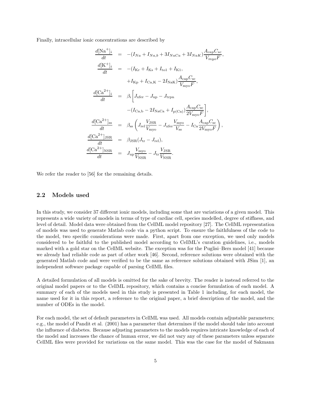Finally, intracellular ionic concentrations are described by

$$
\frac{d[\text{Na}^+]_i}{dt} = -(I_{Na} + I_{Na,b} + 3I_{NaCa} + 3I_{NaK}) \frac{A_{cap}C_{sc}}{V_{myo}F},
$$
\n
$$
\frac{d[\text{K}^+]_i}{dt} = -(I_{Kr} + I_{Ks} + I_{\text{tol}} + I_{K1},
$$
\n
$$
+ I_{\text{Kp}} + I_{\text{Ca,K}} - 2I_{\text{NaK}}) \frac{A_{\text{cap}}C_{\text{sc}}}{V_{\text{myo}}F},
$$
\n
$$
\frac{d[\text{Ca}^{2+}]_i}{dt} = \beta_i \left[ J_{\text{xfer}} - J_{\text{up}} - J_{\text{trpn}} - (I_{\text{Ca,b}} - 2I_{\text{NaCa}} + I_{\text{p(Ca)}}) \frac{A_{\text{cap}}C_{\text{sc}}}{2V_{\text{myo}}F} \right],
$$
\n
$$
\frac{d[\text{Ca}^{2+}]_{\text{ss}}}{dt} = \beta_{ss} \left( J_{\text{rel}} \frac{V_{\text{JSR}}}{V_{\text{myo}}} - J_{\text{xfer}} \frac{V_{\text{myo}}}{V_{\text{ss}}} - I_{\text{Ca}} \frac{A_{\text{cap}}C_{\text{sc}}}{2V_{\text{myo}}F} \right),
$$
\n
$$
\frac{d[\text{Ca}^{2+}]_{\text{JSR}}}{dt} = \beta_{\text{JSR}}(J_{\text{tr}} - J_{\text{rel}}),
$$
\n
$$
\frac{d[\text{Ca}^{2+}]_{\text{NSR}}}{dt} = J_{\text{up}} \frac{V_{\text{myo}}}{V_{\text{NSR}}} - J_{\text{tr}} \frac{V_{\text{JSR}}}{V_{\text{NSR}}}.
$$

We refer the reader to [56] for the remaining details.

### 2.2 Models used

In this study, we consider 37 different ionic models, including some that are variations of a given model. This represents a wide variety of models in terms of type of cardiac cell, species modelled, degree of stiffness, and level of detail. Model data were obtained from the CellML model repository [27]. The CellML representation of models was used to generate Matlab code via a python script. To ensure the faithfulness of the code to the model, two specific considerations were made. First, apart from one exception, we used only models considered to be faithful to the published model according to CellML's curation guidelines, i.e., models marked with a gold star on the CellML website. The exception was for the Puglisi–Bers model [41] because we already had reliable code as part of other work [46]. Second, reference solutions were obtained with the generated Matlab code and were verified to be the same as reference solutions obtained with JSim [1], an independent software package capable of parsing CellML files.

A detailed formulation of all models is omitted for the sake of brevity. The reader is instead referred to the original model papers or to the CellML repository, which contains a concise formulation of each model. A summary of each of the models used in this study is presented in Table 1 including, for each model, the name used for it in this report, a reference to the original paper, a brief description of the model, and the number of ODEs in the model.

For each model, the set of default parameters in CellML was used. All models contain adjustable parameters; e.g., the model of Pandit et al. (2001) has a parameter that determines if the model should take into account the influence of diabetes. Because adjusting parameters to the models requires intricate knowledge of each of the model and increases the chance of human error, we did not vary any of these parameters unless separate CellML files were provided for variations on the same model. This was the case for the model of Sakmann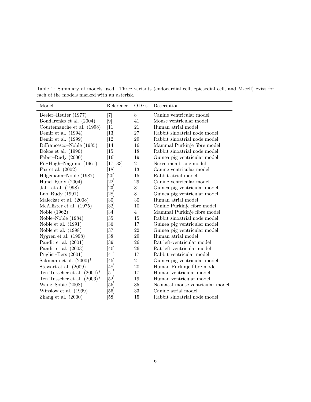| Model                          | Reference                     | ODEs           | Description                      |
|--------------------------------|-------------------------------|----------------|----------------------------------|
| Beeler–Reuter (1977)           | $\left\lceil 7 \right\rceil$  | 8              | Canine ventricular model         |
| Bondarenko et al. (2004)       | $[9]$                         | 41             | Mouse ventricular model          |
| Courtemanche et al. (1998)     | $[11]$                        | 21             | Human atrial model               |
| Demir et al. $(1994)$          | $\left\lceil 13 \right\rceil$ | 27             | Rabbit sinoatrial node model     |
| Demir et al. $(1999)$          | $\left\lceil 12\right\rceil$  | 29             | Rabbit sinoatrial node model     |
| DiFrancesco–Noble (1985)       | $\vert 14 \vert$              | 16             | Mammal Purkinje fibre model      |
| Dokos et al. $(1996)$          | $\left\lceil 15 \right\rceil$ | 18             | Rabbit sinoatrial node model     |
| Faber–Rudy (2000)              | [16]                          | 19             | Guinea pig ventricular model     |
| FitzHugh-Nagumo (1961)         | [17, 33]                      | $\overline{2}$ | Nerve membrane model             |
| Fox et al. $(2002)$            | [18]                          | 13             | Canine ventricular model         |
| Hilgemann-Noble (1987)         | [20]                          | 15             | Rabbit atrial model              |
| Hund-Rudy $(2004)$             | [22]                          | 29             | Canine ventricular model         |
| Jafri et al. (1998)            | $\left[ 23\right]$            | 31             | Guinea pig ventricular model     |
| Luo–Rudy $(1991)$              | [28]                          | 8              | Guinea pig ventricular model     |
| Maleckar et al. (2008)         | $\left[30\right]$             | 30             | Human atrial model               |
| McAllister et al. (1975)       | $\left[ 32\right]$            | 10             | Canine Purkinje fibre model      |
| Noble (1962)                   | $\left[ 34\right]$            | $\overline{4}$ | Mammal Purkinje fibre model      |
| Noble–Noble (1984)             | $\left[ 35\right]$            | 15             | Rabbit sinoatrial node model     |
| Noble et al. $(1991)$          | $\left[ 36\right]$            | 17             | Guinea pig ventricular model     |
| Noble et al. $(1998)$          | $\left[ 37\right]$            | 22             | Guinea pig ventricular model     |
| Nygren et al. $(1998)$         | [38]                          | 29             | Human atrial model               |
| Pandit et al. $(2001)$         | [39]                          | 26             | Rat left-ventricular model       |
| Pandit et al. $(2003)$         | [40]                          | 26             | Rat left-ventricular model       |
| Puglisi-Bers $(2001)$          | $\left[41\right]$             | 17             | Rabbit ventricular model         |
| Sakmann et al. $(2000)*$       | [45]                          | 21             | Guinea pig ventricular model     |
| Stewart et al. (2009)          | [48]                          | 20             | Human Purkinje fibre model       |
| Ten Tusscher et al. $(2004)^*$ | $\left\lceil 51 \right\rceil$ | 17             | Human ventricular model          |
| Ten Tusscher et al. $(2006)^*$ | [52]                          | 19             | Human ventricular model          |
| Wang-Sobie (2008)              | [55]                          | 35             | Neonatal mouse ventricular model |
| Winslow et al. (1999)          | [56]                          | 33             | Canine atrial model              |
| Zhang et al. $(2000)$          | [58]                          | 15             | Rabbit sinoatrial node model     |

Table 1: Summary of models used. Three variants (endocardial cell, epicardial cell, and M-cell) exist for each of the models marked with an asterisk.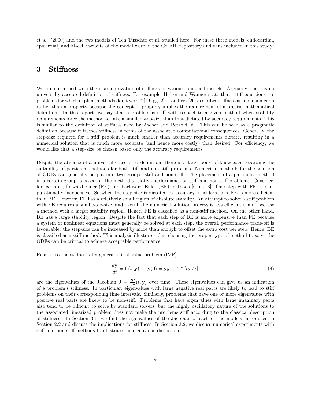et al. (2000) and the two models of Ten Tusscher et al. studied here. For these three models, endocardial, epicardial, and M-cell variants of the model were in the CellML repository and thus included in this study.

## 3 Stiffness

We are concerned with the characterization of stiffness in various ionic cell models. Arguably, there is no universally accepted definition of stiffness. For example, Hairer and Wanner state that "stiff equations are problems for which explicit methods don't work" [19, pg. 2]. Lambert [26] describes stiffness as a phenomenon rather than a property because the concept of property implies the requirement of a precise mathematical definition. In this report, we say that a problem is stiff with respect to a given method when stability requirements force the method to take a smaller step-size than that dictated by accuracy requirements. This is similar to the definition of stiffness used by Ascher and Petzold [6]. This can be seen as a pragmatic definition because it frames stiffness in terms of the associated computational consequences. Generally, the step-size required for a stiff problem is much smaller than accuracy requirements dictate, resulting in a numerical solution that is much more accurate (and hence more costly) than desired. For efficiency, we would like that a step-size be chosen based only the accuracy requirements.

Despite the absence of a universally accepted definition, there is a large body of knowledge regarding the suitability of particular methods for both stiff and non-stiff problems. Numerical methods for the solution of ODEs can generally be put into two groups, stiff and non-stiff. The placement of a particular method in a certain group is based on the method's relative performance on stiff and non-stiff problems. Consider, for example, forward Euler (FE) and backward Euler (BE) methods [6, ch. 3]. One step with FE is computationally inexpensive. So when the step-size is dictated by accuracy considerations, FE is more efficient than BE. However, FE has a relatively small region of absolute stability. An attempt to solve a stiff problem with FE requires a small step-size, and overall the numerical solution process is less efficient than if we use a method with a larger stability region. Hence, FE is classified as a non-stiff method. On the other hand, BE has a large stability region. Despite the fact that each step of BE is more expensive than FE because a system of nonlinear equations must generally be solved at each step, the overall performance trade-off is favourable: the step-size can be increased by more than enough to offset the extra cost per step. Hence, BE is classified as a stiff method. This analysis illustrates that choosing the proper type of method to solve the ODEs can be critical to achieve acceptable performance.

Related to the stiffness of a general initial-value problem (IVP)

$$
\frac{d\mathbf{y}}{dt} = \mathbf{f}(t, \mathbf{y}), \quad \mathbf{y}(0) = \mathbf{y}_0, \quad t \in [t_0, t_f], \tag{4}
$$

are the eigenvalues of the Jacobian  $\mathbf{J} = \frac{\partial \mathbf{f}}{\partial y}(t, y)$  over time. These eigenvalues can give us an indication of a problem's stiffness. In particular, eigenvalues with large negative real parts are likely to lead to stiff problems on their corresponding time intervals. Similarly, problems that have one or more eigenvalues with positive real parts are likely to be non-stiff. Problems that have eigenvalues with large imaginary parts also tend to be difficult to solve by standard solvers, but the highly oscillatory nature of the solutions to the associated linearized problem does not make the problems stiff according to the classical description of stiffness. In Section 3.1, we find the eigenvalues of the Jacobian of each of the models introduced in Section 2.2 and discuss the implications for stiffness. In Section 3.2, we discuss numerical experiments with stiff and non-stiff methods to illustrate the eigenvalue discussion.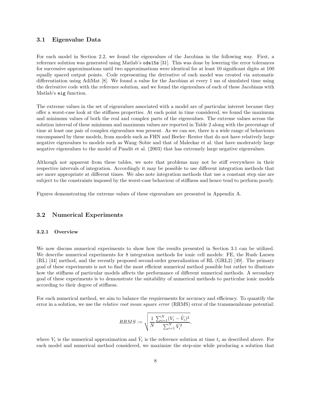#### 3.1 Eigenvalue Data

For each model in Section 2.2, we found the eigenvalues of the Jacobian in the following way. First, a reference solution was generated using Matlab's ode15s [31]. This was done by lowering the error tolerances for successive approximations until two approximations were identical for at least 10 significant digits at 100 equally spaced output points. Code representing the derivative of each model was created via automatic differentiation using AdiMat [8]. We found a value for the Jacobian at every 1 ms of simulated time using the derivative code with the reference solution, and we found the eigenvalues of each of these Jacobians with Matlab's eig function.

The extreme values in the set of eigenvalues associated with a model are of particular interest because they offer a worst-case look at the stiffness properties. At each point in time considered, we found the maximum and minimum values of both the real and complex parts of the eigenvalues. The extreme values across the solution interval of these minimum and maximum values are reported in Table 2 along with the percentage of time at least one pair of complex eigenvalues was present. As we can see, there is a wide range of behaviours encompassed by these models, from models such as FHN and Beeler–Reuter that do not have relatively large negative eigenvalues to models such as Wang–Sobie and that of Maleckar et al. that have moderately large negative eigenvalues to the model of Pandit et al. (2003) that has extremely large negative eigenvalues.

Although not apparent from these tables, we note that problems may not be stiff everywhere in their respective intervals of integration. Accordingly it may be possible to use different integration methods that are more appropriate at different times. We also note integration methods that use a constant step size are subject to the constraints imposed by the worst-case behaviour of stiffness and hence tend to perform poorly.

Figures demonstrating the extreme values of these eigenvalues are presented in Appendix A.

#### 3.2 Numerical Experiments

#### 3.2.1 Overview

We now discuss numerical experiments to show how the results presented in Section 3.1 can be utilized. We describe numerical experiments for 8 integration methods for ionic cell models: FE, the Rush–Larsen (RL) [44] method, and the recently proposed second-order generalization of RL (GRL2) [49]. The primary goal of these experiments is not to find the most efficient numerical method possible but rather to illustrate how the stiffness of particular models affects the performance of different numerical methods. A secondary goal of these experiments is to demonstrate the suitability of numerical methods to particular ionic models according to their degree of stiffness.

For each numerical method, we aim to balance the requirements for accuracy and efficiency. To quantify the error in a solution, we use the *relative root mean square error* (RRMS) error of the transmembrane potential:

$$
RRMS := \sqrt{\frac{1}{N} \frac{\sum_{i=1}^{N} (V_i - \hat{V}_i)^2}{\sum_{i=1}^{N} \hat{V}_i^2}},
$$

where  $V_i$  is the numerical approximation and  $\hat{V}_i$  is the reference solution at time  $t_i$  as described above. For each model and numerical method considered, we maximize the step-size while producing a solution that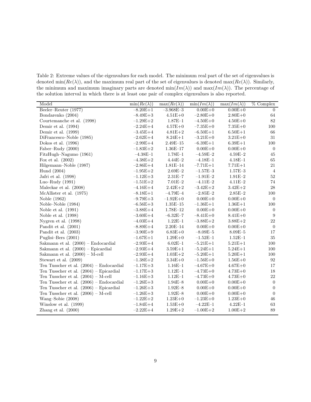Table 2: Extreme values of the eigenvalues for each model. The minimum real part of the set of eigenvalues is denoted min( $Re(\lambda)$ ), and the maximum real part of the set of eigenvalues is denoted max( $Re(\lambda)$ ). Similarly, the minimum and maximum imaginary parts are denoted  $min(Im(\lambda))$  and  $max(Im(\lambda))$ . The percentage of the solution interval in which there is at least one pair of complex eigenvalues is also reported.

| Model                                      | $\min(Re(\lambda))$ | $\max(Re(\lambda))$ | $\min(Im(\lambda))$ | $\max(Im(\lambda))$ | $\%$ Complex     |
|--------------------------------------------|---------------------|---------------------|---------------------|---------------------|------------------|
| Beeler-Reuter (1977)                       | $-8.20E+1$          | $-3.968E - 3$       | $0.00E + 0$         | $0.00E + 0$         | $\overline{0}$   |
| Bondarenko (2004)                          | $-8.49E + 3$        | $4.51E + 0$         | $-2.80E + 0$        | $2.80E + 0$         | 64               |
| Courtemanche et al. (1998)                 | $-1.29E+2$          | $1.87E - 1$         | $-4.50E + 0$        | $4.50E + 0$         | 82               |
| Demir et al. $(1994)$                      | $-2.24E+4$          | $4.57E + 0$         | $-7.35E+0$          | $7.35E + 0$         | 100              |
| Demir et al. (1999)                        | $-3.45E+4$          | $4.81E + 2$         | $-6.50E+1$          | $6.50E + 1$         | 66               |
| DiFrancesco-Noble (1985)                   | $-2.62E+4$          | $8.24E + 1$         | $-3.21E+0$          | $3.21E + 0$         | 31               |
| Dokos et al. (1996)                        | $-2.99E+4$          | $2.49E - 15$        | $-6.39E+1$          | $6.39E + 1$         | 100              |
| Faber–Rudy $(2000)$                        | $-1.83E+2$          | $1.36E - 17$        | $0.00E + 0$         | $0.00E + 0$         | $\overline{0}$   |
| FitzHugh-Nagumo (1961)                     | $-4.38E - 1$        | $1.78E - 1$         | $-4.59E-2$          | $4.59E - 2$         | 45               |
| Fox et al. $(2002)$                        | $-4.38E+2$          | $4.44E - 2$         | $-4.18E - 1$        | $4.18E - 1$         | 65               |
| Hilgemann-Noble (1987)                     | $-2.86E+4$          | $1.81E - 14$        | $-7.71E+1$          | $7.71E + 1$         | 21               |
| Hund (2004)                                | $-1.95E+2$          | $2.69E - 2$         | $-1.57E - 3$        | $1.57E - 3$         | $\,4\,$          |
| Jafri et al. (1998)                        | $-1.12E+3$          | $2.31E - 7$         | $-1.91E-2$          | $1.91E - 2$         | $52\,$           |
| Luo-Rudy $(1991)$                          | $-1.51E+2$          | $7.01E - 2$         | $-4.11E-2$          | $4.11E - 2$         | 74               |
| Maleckar et al. (2008)                     | $-4.16E+4$          | $2.42E + 2$         | $-3.42E+2$          | $3.42E + 2$         | 28               |
| McAllister et al. (1975)                   | $-8.18E + 1$        | $-4.79E - 4$        | $-2.85E-2$          | $2.85E - 2$         | 100              |
| Noble (1962)                               | $-9.79E + 3$        | $-1.92E+0$          | $0.00E + 0$         | $0.00E + 0$         | $\overline{0}$   |
| Noble-Noble (1984)                         | $-6.56E + 3$        | $1.35E - 15$        | $-1.36E+1$          | $1.36E + 1$         | 100              |
| Noble et al. $(1991)$                      | $-3.88E+4$          | $1.78E - 12$        | $0.00E + 0$         | $0.00E + 0$         | $\overline{0}$   |
| Noble et al. $(1998)$                      | $-3.60E+4$          | $-6.32E - 7$        | $-8.41E+0$          | $8.41E + 0$         | $\boldsymbol{9}$ |
| Nygren et al. $(1998)$                     | $-4.03E+4$          | $1.22E - 1$         | $-3.88E+2$          | $3.88E + 2$         | $22\,$           |
| Pandit et al. (2001)                       | $-8.89E+4$          | $2.20E - 14$        | $0.00E + 0$         | $0.00E + 0$         | $\overline{0}$   |
| Pandit et al. (2003)                       | $-3.90E+9$          | $6.83E + 0$         | $-8.09E - 5$        | $8.09E - 5$         | 17               |
| Puglisi-Bers (2001)                        | $-1.67E+1$          | $1.29E + 0$         | $-1.52E-1$          | $1.52E - 1$         | 35               |
| Sakmann et al. $(2000)$ – Endocardial      | $-2.93E+4$          | $6.02E–1$           | $-5.21E+1$          | $5.21E + 1$         | 100              |
| Sakmann et al. $(2000)$ – Epicardial       | $-2.93E+4$          | $3.59E + 1$         | $-5.24E+1$          | $5.24E + 1$         | 100              |
| Sakmann et al. $(2000) - M-cell$           | $-2.93E+4$          | $1.03E + 2$         | $-5.20E+1$          | $5.20E + 1$         | 100              |
| Stewart et al. $(2009)$                    | $-1.38E+2$          | $3.34E + 0$         | $-1.56E+0$          | $1.56E + 0$         | 92               |
| Ten Tusscher et al. $(2004)$ – Endocardial | $-1.17E+3$          | $1.16E - 1$         | $-4.67E+0$          | $4.67E + 0$         | 17               |
| Ten Tusscher et al. $(2004)$ – Epicardial  | $-1.17E + 3$        | $1.12E - 1$         | $-4.73E+0$          | $4.73E + 0$         | 18               |
| Ten Tusscher et al. $(2004)$ – M-cell      | $-1.16E+3$          | $1.12E - 1$         | $-4.73E+0$          | $4.73E + 0$         | 22               |
| Ten Tusscher et al. $(2006)$ – Endocardial | $-1.26E + 3$        | $1.94E - 8$         | $0.00E + 0$         | $0.00E + 0$         | $\mathbf{0}$     |
| Ten Tusscher et al. $(2006)$ – Epicardial  | $-1.26E + 3$        | $1.92E - 8$         | $0.00E + 0$         | $0.00E + 0$         | $\overline{0}$   |
| Ten Tusscher et al. $(2006)$ – M-cell      | $-1.26E+3$          | $1.92E - 8$         | $0.00E + 0$         | $0.00E + 0$         | $\mathbf{0}$     |
| Wang-Sobie (2008)                          | $-1.22E+2$          | $1.23E+0$           | $-1.23E+0$          | $1.23E+0$           | 46               |
| Winslow et al. (1999)                      | $-1.84E+4$          | $1.53E + 0$         | $-4.22E-1$          | $4.22E - 1$         | 63               |
| Zhang et al. $(2000)$                      | $-2.22E+4$          | $1.29E + 2$         | $-1.00E + 2$        | $1.00E + 2$         | 89               |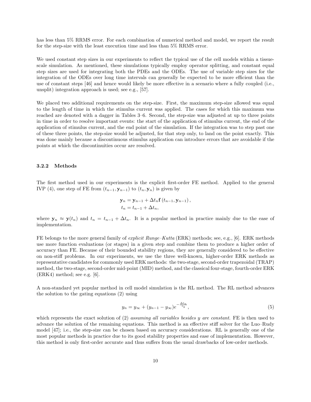has less than 5% RRMS error. For each combination of numerical method and model, we report the result for the step-size with the least execution time and less than 5% RRMS error.

We used constant step sizes in our experiments to reflect the typical use of the cell models within a tissuescale simulation. As mentioned, these simulations typically employ operator splitting, and constant equal step sizes are used for integrating both the PDEs and the ODEs. The use of variable step sizes for the integration of the ODEs over long time intervals can generally be expected to be more efficient than the use of constant steps [46] and hence would likely be more effective in a scenario where a fully coupled (i.e., unsplit) integration approach is used; see e.g., [57].

We placed two additional requirements on the step-size. First, the maximum step-size allowed was equal to the length of time in which the stimulus current was applied. The cases for which this maximum was reached are denoted with a dagger in Tables 3–6. Second, the step-size was adjusted at up to three points in time in order to resolve important events: the start of the application of stimulus current, the end of the application of stimulus current, and the end point of the simulation. If the integration was to step past one of these three points, the step-size would be adjusted, for that step only, to land on the point exactly. This was done mainly because a discontinuous stimulus application can introduce errors that are avoidable if the points at which the discontinuities occur are resolved.

#### 3.2.2 Methods

The first method used in our experiments is the explicit first-order FE method. Applied to the general IVP (4), one step of FE from  $(t_{n-1}, y_{n-1})$  to  $(t_n, y_n)$  is given by

$$
\mathbf{y}_n = \mathbf{y}_{n-1} + \Delta t_n \mathbf{f} (t_{n-1}, \mathbf{y}_{n-1}),
$$
  
\n
$$
t_n = t_{n-1} + \Delta t_n,
$$

where  $y_n \approx y(t_n)$  and  $t_n = t_{n-1} + \Delta t_n$ . It is a popular method in practice mainly due to the ease of implementation.

FE belongs to the more general family of *explicit Runge–Kutta* (ERK) methods; see, e.g., [6]. ERK methods use more function evaluations (or stages) in a given step and combine them to produce a higher order of accuracy than FE. Because of their bounded stability regions, they are generally considered to be effective on non-stiff problems. In our experiments, we use the three well-known, higher-order ERK methods as representative candidates for commonly used ERK methods: the two-stage, second-order trapezoidal (TRAP) method, the two-stage, second-order mid-point (MID) method, and the classical four-stage, fourth-order ERK (ERK4) method; see e.g. [6].

A non-standard yet popular method in cell model simulation is the RL method. The RL method advances the solution to the gating equations (2) using

$$
y_n = y_\infty + (y_{n-1} - y_\infty)e^{-\frac{\Delta t_n}{\tau_y}},\tag{5}
$$

which represents the exact solution of (2) assuming all variables besides y are constant. FE is then used to advance the solution of the remaining equations. This method is an effective stiff solver for the Luo–Rudy model [47]; i.e., the step-size can be chosen based on accuracy considerations. RL is generally one of the most popular methods in practice due to its good stability properties and ease of implementation. However, this method is only first-order accurate and thus suffers from the usual drawbacks of low-order methods.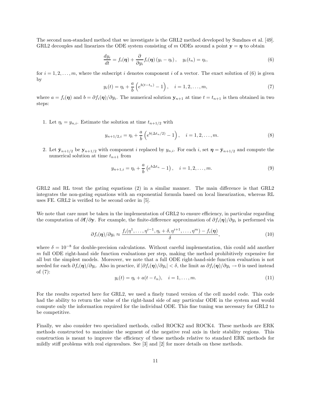The second non-standard method that we investigate is the GRL2 method developed by Sundnes et al. [49]. GRL2 decouples and linearizes the ODE system consisting of m ODEs around a point  $y = \eta$  to obtain

$$
\frac{dy_i}{dt} = f_i(\boldsymbol{\eta}) + \frac{\partial}{\partial y_i} f_i(\boldsymbol{\eta}) (y_i - \eta_i), \quad y_i(t_n) = \eta_i,
$$
\n(6)

for  $i = 1, 2, \ldots, m$ , where the subscript i denotes component i of a vector. The exact solution of (6) is given by

$$
y_i(t) = \eta_i + \frac{a}{b} \left( e^{b(t - t_n)} - 1 \right), \quad i = 1, 2, \dots, m,
$$
 (7)

where  $a = f_i(\eta)$  and  $b = \partial f_i(\eta) / \partial y_i$ . The numerical solution  $y_{n+1}$  at time  $t = t_{n+1}$  is then obtained in two steps:

1. Let  $\eta_i = y_{n,i}$ . Estimate the solution at time  $t_{n+1/2}$  with

$$
y_{n+1/2,i} = \eta_i + \frac{a}{b} \left( e^{b(\Delta t_n/2)} - 1 \right), \quad i = 1, 2, \dots, m.
$$
 (8)

2. Let  $\bar{\mathbf{y}}_{n+1/2}$  be  $\mathbf{y}_{n+1/2}$  with component i replaced by  $y_{n,i}$ . For each i, set  $\eta = \bar{\mathbf{y}}_{n+1/2}$  and compute the numerical solution at time  $t_{n+1}$  from

$$
y_{n+1,i} = \eta_i + \frac{a}{b} \left( e^{b \Delta t_n} - 1 \right), \quad i = 1, 2, \dots, m. \tag{9}
$$

GRL2 and RL treat the gating equations (2) in a similar manner. The main difference is that GRL2 integrates the non-gating equations with an exponential formula based on local linearization, whereas RL uses FE. GRL2 is verified to be second order in [5].

We note that care must be taken in the implementation of GRL2 to ensure efficiency, in particular regarding the computation of  $\partial f/\partial y$ . For example, the finite-difference approximation of  $\partial f_i(\eta)/\partial y_i$  is performed via

$$
\partial f_i(\boldsymbol{\eta})/\partial y_i \approx \frac{f_i(\boldsymbol{\eta}^1, \dots, \boldsymbol{\eta}^{i-1}, \eta_i + \delta, \boldsymbol{\eta}^{i+1}, \dots, \boldsymbol{\eta}^m) - f_i(\boldsymbol{\eta})}{\delta},\tag{10}
$$

where  $\delta = 10^{-8}$  for double-precision calculations. Without careful implementation, this could add another  $m$  full ODE right-hand side function evaluations per step, making the method prohibitively expensive for all but the simplest models. Moreover, we note that a full ODE right-hand-side function evaluation is not needed for each  $\partial f_i(\boldsymbol{\eta})/\partial y_i$ . Also in practice, if  $|\partial f_i(\boldsymbol{\eta})/\partial y_i| < \delta$ , the limit as  $\partial f_i(\boldsymbol{\eta})/\partial y_i \to 0$  is used instead of (7):

$$
y_i(t) = \eta_i + a(t - t_n), \quad i = 1, \dots, m. \tag{11}
$$

For the results reported here for GRL2, we used a finely tuned version of the cell model code. This code had the ability to return the value of the right-hand side of any particular ODE in the system and would compute only the information required for the individual ODE. This fine tuning was necessary for GRL2 to be competitive.

Finally, we also consider two specialized methods, called ROCK2 and ROCK4. These methods are ERK methods constructed to maximize the segment of the negative real axis in their stability regions. This construction is meant to improve the efficiency of these methods relative to standard ERK methods for mildly stiff problems with real eigenvalues. See [3] and [2] for more details on these methods.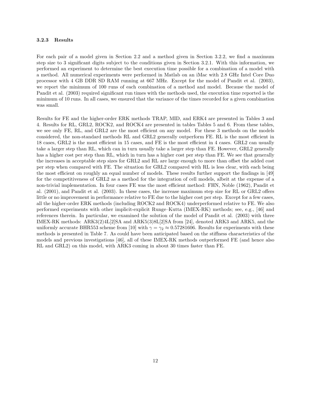#### 3.2.3 Results

For each pair of a model given in Section 2.2 and a method given in Section 3.2.2, we find a maximum step size to 3 significant digits subject to the conditions given in Section 3.2.1. With this information, we performed an experiment to determine the best execution time possible for a combination of a model with a method. All numerical experiments were performed in Matlab on an iMac with 2.8 GHz Intel Core Duo processor with 4 GB DDR SD RAM running at 667 MHz. Except for the model of Pandit et al. (2003), we report the minimum of 100 runs of each combination of a method and model. Because the model of Pandit et al. (2003) required significant run times with the methods used, the execution time reported is the minimum of 10 runs. In all cases, we ensured that the variance of the times recorded for a given combination was small.

Results for FE and the higher-order ERK methods TRAP, MID, and ERK4 are presented in Tables 3 and 4. Results for RL, GRL2, ROCK2, and ROCK4 are presented in tables Tables 5 and 6. From these tables, we see only FE, RL, and GRL2 are the most efficient on any model. For these 3 methods on the models considered, the non-standard methods RL and GRL2 generally outperform FE. RL is the most efficient in 18 cases, GRL2 is the most efficient in 15 cases, and FE is the most efficient in 4 cases. GRL2 can usually take a larger step than RL, which can in turn usually take a larger step than FE. However, GRL2 generally has a higher cost per step than RL, which in turn has a higher cost per step than FE. We see that generally the increases in acceptable step sizes for GRL2 and RL are large enough to more than offset the added cost per step when compared with FE. The situation for GRL2 compared with RL is less clear, with each being the most efficient on roughly an equal number of models. These results further support the findings in [49] for the competitiveness of GRL2 as a method for the integration of cell models, albeit at the expense of a non-trivial implementation. In four cases FE was the most efficient method: FHN, Noble (1962), Pandit et al. (2001), and Pandit et al. (2003). In these cases, the increase maximum step size for RL or GRL2 offers little or no improvement in performance relative to FE due to the higher cost per step. Except for a few cases, all the higher-order ERK methods (including ROCK2 and ROCK4) underperformed relative to FE. We also performed experiments with other implicit-explicit Runge–Kutta (IMEX-RK) methods; see, e.g., [46] and references therein. In particular, we examined the solution of the model of Pandit et al. (2003) with three IMEX-RK methods: ARK3(2)4L[2]SA and ARK5(3)8L[2]SA from [24], denoted ARK3 and ARK5, and the uniformly accurate BHR553 scheme from [10] with  $\gamma = \gamma_2 \approx 0.57281606$ . Results for experiments with these methods is presented in Table 7. As could have been anticipated based on the stiffness characteristics of the models and previous investigations [46], all of these IMEX-RK methods outperformed FE (and hence also RL and GRL2) on this model, with ARK3 coming in about 30 times faster than FE.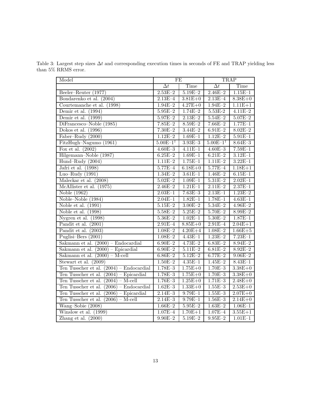Table 3: Largest step sizes  $\Delta t$  and corresponding execution times in seconds of FE and TRAP yielding less than 5% RRMS error.

| Model                                      | FE                       |             | <b>TRAP</b>              |             |
|--------------------------------------------|--------------------------|-------------|--------------------------|-------------|
|                                            | $\overline{\Delta t}$    | Time        | $\overline{\Delta t}$    | Time        |
| Beeler–Reuter $(1977)$                     | $2.53E - 2$              | $5.19E - 2$ | $2.46E - 2$              | $1.15E-1$   |
| Bondarenko et al. (2004)                   | $2.13E - 4$              | $3.81E + 0$ | $2.13E - 4$              | $8.38E + 0$ |
| Courtemanche et al. (1998)                 | $1.94E - 2$              | $4.27E + 0$ | $1.94E - 2$              | $1.11E + 1$ |
| Demir et al. $(1994)$                      | $5.95E - 2$              | $1.74E - 2$ | $5.53E - 2$              | $4.11E-2$   |
| Demir et al. $(1999)$                      | $5.97E - 2$              | $2.13E - 2$ | $5.54E - 2$              | $5.07E - 2$ |
| DiFrancesco-Noble (1985)                   | $7.85E - 2$              | $8.59E - 2$ | $7.66E - 2$              | $1.77E-1$   |
| Dokos et al. $(1996)$                      | $7.30E - 2$              | $3.44E - 2$ | $6.91E - 2$              | $8.02E - 2$ |
| Faber-Rudy (2000)                          | $1.12E - 2$              | $1.69E - 1$ | $1.12E - 2$              | $5.91E-1$   |
| FitzHugh-Nagumo (1961)                     | $5.00E - 1$ <sup>†</sup> | $3.93E - 3$ | $5.00E - 1$ <sup>†</sup> | $8.64E - 3$ |
| Fox et al. $(2002)$                        | $4.60E - 3$              | $4.11E-1$   | $4.60E - 3$              | $7.59E - 1$ |
| Hilgemann-Noble (1987)                     | $6.25E - 2$              | $1.69E - 1$ | $6.21E - 2$              | $3.12E-1$   |
| Hund-Rudy (2004)                           | $1.11E - 2$              | $1.75E-1$   | $1.11E - 2$              | $3.22E-1$   |
| Jafri et al. (1998)                        | $5.77E - 4$              | $6.18E + 0$ | $5.77E - 4$              | $1.18E + 1$ |
| Luo-Rudy $(1991)$                          | $1.34E - 2$              | $3.61E - 1$ | $1.46E - 2$              | $6.15E-1$   |
| Maleckar et al. (2008)                     | $5.02E - 2$              | $1.09E - 1$ | $5.31E - 2$              | $2.02E-1$   |
| McAllister et al. (1975)                   | $2.46E - 2$              | $1.21E-1$   | $2.11E - 2$              | $2.37E-1$   |
| Noble (1962)                               | $2.03E-1$                | $7.63E - 3$ | $2.13E-1$                | $1.23E - 2$ |
| Noble-Noble (1984)                         | $2.04E - 1$              | $1.82E - 1$ | $1.78E - 1$              | $4.63E - 1$ |
| Noble et al. $(1991)$                      | $5.15E - 2$              | $3.00E - 2$ | $5.34E - 2$              | $4.96E - 2$ |
| Noble et al. $(1998)$                      | $5.58E - 2$              | $5.25E - 2$ | $5.70E - 2$              | $8.99E-2$   |
| Nygren et al. (1998)                       | $5.36E - 2$              | $1.02E - 1$ | $5.30E - 2$              | $1.87E - 1$ |
| Pandit et al. $(2001)$                     | $2.91E - 4$              | $8.85E + 0$ | $2.91E - 4$              | $2.04E + 1$ |
| Pandit et al. (2003)                       | $1.08E - 2$              | $4.20E + 4$ | $1.08E - 2$              | $1.66E + 5$ |
| Puglisi-Bers (2001)                        | $1.08E - 2$              | $4.43E - 1$ | $1.23E - 2$              | $7.23E-1$   |
| Sakmann et al. $(2000)$ – Endocardial      | $6.90E - 2$              | $4.73E - 2$ | $6.83E - 2$              | $8.94E - 2$ |
| Sakmann et al. (2000) - Epicardial         | $6.90E - 2$              | $5.11E - 2$ | $6.81E - 2$              | $8.92E - 2$ |
| Sakmann et al. $(2000) - Mcell$            | $6.86E - 2$              | $5.12E - 2$ | $6.77E - 2$              | $9.06E - 2$ |
| Stewart et al. $(2009)$                    | $1.50E - 2$              | $4.35E-1$   | $1.45E - 2$              | $8.43E - 1$ |
| Ten Tusscher et al. $(2004)$ – Endocardial | $1.78E - 3$              | $1.75E + 0$ | $1.70E - 3$              | $3.38E + 0$ |
| Ten Tusscher et al. $(2004)$ – Epicardial  | $1.78E - 3$              | $1.75E + 0$ | $1.70E - 3$              | $3.38E + 0$ |
| Ten Tusscher et al. $(2004)$ – M-cell      | $1.76E - 3$              | $1.25E+0$   | $1.71E - 3$              | $2.48E + 0$ |
| Ten Tusscher et al. $(2006)$ – Endocardial | $1.62E - 3$              | $1.33E + 0$ | $1.55E - 3$              | $2.53E+0$   |
| Ten Tusscher et al. $(2006)$ – Epicardial  | $2.14E - 3$              | $9.79E - 1$ | $1.55E - 3$              | $2.07E + 0$ |
| Ten Tusscher et al. $(2006)$ – M-cell      | $2.14E - 3$              | $9.79E - 1$ | $1.56E - 3$              | $2.14E + 0$ |
| Wang-Sobie (2008)                          | $1.66E - 2$              | $5.95E - 2$ | $1.63E - 2$              | $1.06E-1$   |
| Winslow et al. (1999)                      | $1.07E - 4$              | $1.70E + 1$ | $1.07E - 4$              | $3.55E + 1$ |
| Zhang et al. $(2000)$                      | $9.90E - 2$              | $5.19E - 2$ | $9.95E - 2$              | $1.01E-1$   |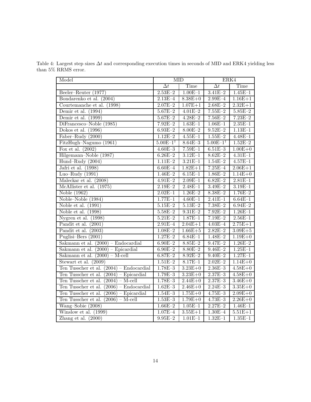Table 4: Largest step sizes  $\Delta t$  and corresponding execution times in seconds of MID and ERK4 yielding less than 5% RRMS error.

| Model                                      | <b>MID</b>               |             | ERK4                     |             |
|--------------------------------------------|--------------------------|-------------|--------------------------|-------------|
|                                            | $\overline{\Delta t}$    | Time        | $\overline{\Delta t}$    | Time        |
| Beeler-Reuter (1977)                       | $2.53E - 2$              | $1.00E-1$   | $3.41E - 2$              | $1.45E - 1$ |
| Bondarenko et al. (2004)                   | $2.13E - 4$              | $8.38E + 0$ | $2.99E - 4$              | $1.16E + 1$ |
| Courtemanche et al. (1998)                 | $2.07E - 2$              | $1.07E + 1$ | $2.68E - 2$              | $2.32E+1$   |
| Demir et al. $(1994)$                      | $5.67E - 2$              | $4.01E - 2$ | $7.55E - 2$              | $5.85E - 2$ |
| Demir et al. $(1999)$                      | $5.67E - 2$              | $4.28E - 2$ | $7.56E - 2$              | $7.23E - 2$ |
| DiFrancesco-Noble (1985)                   | $7.92E - 2$              | $1.63E-1$   | $1.06E - 1$              | $2.35E-1$   |
| Dokos et al. $(1996)$                      | $6.93E - 2$              | $8.00E - 2$ | $9.52E - 2$              | $1.13E-1$   |
| Faber-Rudy (2000)                          | $1.12E - 2$              | $4.55E - 1$ | $1.55E - 2$              | $4.48E - 1$ |
| FitzHugh-Nagumo (1961)                     | $5.00E - 1$ <sup>†</sup> | $8.64E - 3$ | $5.00E - 1$ <sup>†</sup> | $1.52E - 2$ |
| Fox et al. $(2002)$                        | $4.60E - 3$              | $7.59E - 1$ | $6.51E - 3$              | $1.00E + 0$ |
| Hilgemann-Noble (1987)                     | $6.26E - 2$              | $3.12E - 1$ | $8.62E - 2$              | $4.31E-1$   |
| Hund-Rudy (2004)                           | $1.11E - 2$              | $3.21E-1$   | $1.54E - 2$              | $4.57E-1$   |
| Jafri et al. (1998)                        | $6.60E - 4$              | $1.82E + 1$ | $7.25E - 4$              | $2.06E + 1$ |
| Luo-Rudy $(1991)$                          | $1.46E - 2$              | $6.15E-1$   | $1.86E - 2$              | $1.14E + 0$ |
| Maleckar et al. (2008)                     | $4.91E - 2$              | $2.09E-1$   | $6.82E - 2$              | $2.81E - 1$ |
| McAllister et al. (1975)                   | $2.19E - 2$              | $2.48E - 1$ | $3.49E - 2$              | $3.19E - 1$ |
| Noble (1962)                               | $2.02E - 1$              | $1.26E - 2$ | $8.38E - 2$              | $1.76E - 2$ |
| Noble-Noble (1984)                         | $1.77E-1$                | $4.60E - 1$ | $2.41E - 1$              | $6.64E - 1$ |
| Noble et al. $(1991)$                      | $5.15E - 2$              | $5.13E - 2$ | $7.38E - 2$              | $6.94E - 2$ |
| Noble et al. (1998)                        | $5.58E - 2$              | $9.31E - 2$ | $7.92E - 2$              | $1.26E - 1$ |
| Nygren et al. (1998)                       | $5.21E - 2$              | $1.87E - 1$ | $7.19E - 2$              | $2.56E - 1$ |
| Pandit et al. $(2001)$                     | $2.91E - 4$              | $2.04E + 1$ | $4.03E - 4$              | $2.75E + 1$ |
| Pandit et al. $(2003)$                     | $1.08E - 2$              | $1.66E + 5$ | $2.82E - 2$              | $3.09E + 5$ |
| Puglisi-Bers (2001)                        | $1.27E - 2$              | $6.84E - 1$ | $1.48E - 2$              | $1.19E + 0$ |
| Sakmann et al. $(2000)$ – Endocardial      | $6.90E - 2$              | $8.85E - 2$ | $9.47E - 2$              | $1.26E - 2$ |
| Sakmann et al. $(2000)$ – Epicardial       | $6.90E - 2$              | $8.80E - 2$ | $9.46E - 2$              | $1.25E-1$   |
| Sakmann et al. $(2000) - Mccell$           | $6.87E - 2$              | $8.92E - 2$ | $9.40E - 2$              | $1.27E-1$   |
| Stewart et al. $(2009)$                    | $1.51E - 2$              | $8.17E - 1$ | $2.02E - 2$              | $1.14E + 0$ |
| Ten Tusscher et al. $(2004)$ – Endocardial | $1.78E - 3$              | $3.23E + 0$ | $2.36E - 3$              | $4.58E + 0$ |
| Ten Tusscher et al. $(2004)$ – Epicardial  | $1.79E - 3$              | $3.23E + 0$ | $2.37E - 3$              | $4.58E + 0$ |
| Ten Tusscher et al. $(2004)$ – M-cell      | $1.78E - 3$              | $2.44E + 0$ | $2.37E - 3$              | $3.46E + 0$ |
| Ten Tusscher et al. $(2006)$ – Endocardial | $1.62E - 3$              | $2.46E + 0$ | $2.24E - 3$              | $3.35E+0$   |
| Ten Tusscher et al. $(2006)$ – Epicardial  | $1.54E - 3$              | $1.75E+0$   | $4.75E - 3$              | $2.09E + 0$ |
| Ten Tusscher et al. $(2006)$ – M-cell      | $1.53E - 3$              | $1.79E + 0$ | $4.73E - 3$              | $2.26E + 0$ |
| Wang-Sobie (2008)                          | $1.66E - 2$              | $1.05E-1$   | $2.27E - 2$              | $1.46E - 1$ |
| Winslow et al. (1999)                      | $1.07E - 4$              | $3.55E + 1$ | $1.30E - 4$              | $5.51E + 1$ |
| Zhang et al. $(2000)$                      | $9.95E - 2$              | $1.01E-1$   | $1.32E - 1$              | $1.35E-1$   |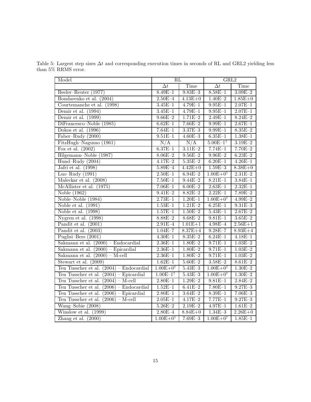Table 5: Largest step sizes  $\Delta t$  and corresponding execution times in seconds of RL and GRL2 yielding less than 5% RRMS error.

| Model                                      | $\overline{\mathrm{RL}}$ |                  | GRL2                     |             |
|--------------------------------------------|--------------------------|------------------|--------------------------|-------------|
|                                            | $\Delta t$               | Time             | $\Delta t$               | Time        |
| Beeler-Reuter (1977)                       | $8.49E - 1$              | $9.83E - 3$      | $8.58E - 1$              | $3.09E - 2$ |
| Bondarenko et al. (2004)                   | $2.50E - 4$              | $4.13E + 0$      | $1.40E - 2$              | $1.85E + 0$ |
| Courtemanche et al. (1998)                 | $3.45E - 1$              | $4.79E - 1$      | $9.95E - 1$              | $2.07E - 1$ |
| Demir et al. (1994)                        | $3.45E - 1$              | $4.79E - 1$      | $9.95E - 1$              | $2.07E - 1$ |
| Demir et al. $(1999)$                      | $9.66E - 2$              | $1.71E - 2$      | $2.49E - 1$              | $8.24E - 2$ |
| DiFrancesco-Noble (1985)                   | $6.62E - 1$              | $7.66E - 2$      | $9.99E - 1$              | $2.67E - 1$ |
| Dokos et al. $(1996)$                      | $7.64E - 1$              | $3.37E - 3$      | $9.99E - 1$              | $8.35E - 2$ |
| Faber-Rudy (2000)                          | $9.51E - 1$              | $4.60E - 3$      | $6.35E - 1$              | $1.38E - 1$ |
| FitzHugh-Nagumo (1961)                     | N/A                      | $\overline{N/A}$ | $5.00E-1$ <sup>†</sup>   | $3.19E - 2$ |
| Fox et al. $(2002)$                        | $6.37E - 1$              | $3.11E - 2$      | $7.74E - 1$              | $7.70E - 2$ |
| Hilgemann-Noble (1987)                     | $8.06E - 2$              | $9.56E - 2$      | $9.96E - 2$              | $6.23E - 2$ |
| Hund-Rudy (2004)                           | $4.17E - 2$              | $5.35E - 2$      | $6.20E - 1$              | $4.26E - 1$ |
| Jafri et al. (1998)                        | $5.89E - 4$              | $4.42E + 0$      | $1.59E - 3$              | $8.38E + 0$ |
| Luo-Rudy $(1991)$                          | $2.50E - 1$              | $6.94E - 2$      | $1.00E + 0^{\dagger}$    | $2.31E - 2$ |
| Maleckar et al. (2008)                     | $7.50E - 1$              | $9.44E - 2$      | $8.21E - 1$              | $3.84E - 1$ |
| McAllister et al. (1975)                   | $7.06E - 1$              | $6.00E - 2$      | $2.63E-1$                | $2.32E-1$   |
| Noble $(1962)$                             | $9.41E - 2$              | $8.82E - 2$      | $2.22E-1$                | $7.89E - 2$ |
| Noble-Noble (1984)                         | $2.73E-1$                | $1.20E - 1$      | $1.00E + 0^{\dagger}$    | $4.99E - 2$ |
| Noble et al. $(1991)$                      | $1.53E-1$                | $1.21E - 2$      | $6.25E-1$                | $9.31E - 3$ |
| Noble et al. $(1998)$                      | $1.57E - 1$              | $1.50E - 2$      | $5.43E - 1$              | $2.67E - 2$ |
| Nygren et al. $(1998)$                     | $8.88E - 2$              | $8.68E - 2$      | $9.81E - 1$              | $3.65E - 2$ |
| Pandit et al. $(2001)$                     | $2.91E - 4$              | $1.01E + 1$      | $4.98E - 4$              | $2.56E + 1$ |
| Pandit et al. (2003)                       | $1.04E - 7$              | $8.37E + 4$      | $9.28E - 7$              | $8.93E+4$   |
| Puglisi-Bers $(2001)$                      | $4.30E - 1$              | $8.35E - 2$      | $6.24E-1$                | $4.18E - 1$ |
| Sakmann et al. $(2000)$ – Endocardial      | $2.36E - 1$              | $1.80E - 2$      | $9.71E - 1$              | $1.03E - 2$ |
| Sakmann et al. $(2000)$ – Epicardial       | $2.36E - 1$              | $1.80E - 2$      | $9.71E - 1$              | $1.03E - 2$ |
| Sakmann et al. $(2000) - M-cell$           | $2.36E - 1$              | $1.80E - 2$      | $9.71E - 1$              | $1.03E - 2$ |
| Stewart et al. $(2009)$                    | $1.62E - 1$              | $5.60E - 2$      | $3.58E - 2$              | $8.61E - 2$ |
| Ten Tusscher et al. $(2004)$ – Endocardial | $1.00E + 0^{\dagger}$    | $5.43E - 3$      | $1.00E + 0$ <sup>†</sup> | $1.30E - 2$ |
| Ten Tusscher et al. $(2004)$ – Epicardial  | $1.00E-1$ <sup>†</sup>   | $5.43E - 3$      | $1.00E + 0$ <sup>†</sup> | $1.30E - 2$ |
| Ten Tusscher et al. $(2004)$ – M-cell      | $2.80E - 1$              | $1.29E - 2$      | $9.81E - 1$              | $2.84E - 2$ |
| Ten Tusscher et al. $(2006)$ – Endocardial | $1.52E - 1$              | $6.41E - 2$      | $7.80E - 1$              | $9.27E - 3$ |
| Ten Tusscher et al. $(2006)$ – Epicardial  | $2.80E - 1$              | $3.64E - 2$      | $8.39E - 1$              | $7.06E - 3$ |
| Ten Tusscher et al. $(2006)$ – M-cell      | $2.05E - 1$              | $4.17E - 2$      | $7.77E-1$                | $9.27E - 3$ |
| Wang-Sobie (2008)                          | $5.26E - 2$              | $2.19E - 2$      | $4.97E - 1$              | $1.61E - 2$ |
| Winslow et al. (1999)                      | $2.80E - 4$              | $8.84E + 0$      | $1.34E - 3$              | $2.26E + 0$ |
| Zhang et al. $(2000)$                      | $1.00E + 0^{\dagger}$    | $7.69E - 3$      | $1.00E + 0^{\dagger}$    | $1.85E-1$   |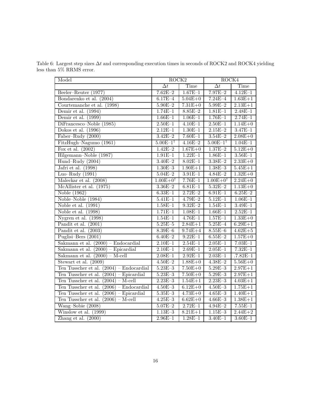Table 6: Largest step sizes  $\Delta t$  and corresponding execution times in seconds of ROCK2 and ROCK4 yielding less than 5% RRMS error.

| Model                                      | ROCK2                  |             | ROCK4                  |              |
|--------------------------------------------|------------------------|-------------|------------------------|--------------|
|                                            | $\overline{\Delta t}$  | Time        | $\overline{\Delta t}$  | Time         |
| Beeler–Reuter $(1977)$                     | $7.62E - 2$            | $1.67E-1$   | $7.97E - 2$            | $4.12E - 1$  |
| Bondarenko et al. (2004)                   | $6.17E - 4$            | $5.04E + 0$ | $7.24E - 4$            | $1.63E + 1$  |
| Courtemanche et al. (1998)                 | $5.90E - 2$            | $7.31E + 0$ | $5.99E - 2$            | $2.13E+1$    |
| Demir et al. $(1994)$                      | $1.74E-1$              | $8.85E - 2$ | $1.81E - 1$            | $2.48E - 1$  |
| Demir et al. $(1999)$                      | $1.66E - 1$            | $1.06E-1$   | $1.76E-1$              | $2.74E-1$    |
| DiFrancesco-Noble (1985)                   | $2.50E-1$              | $4.10E-1$   | $2.50E-1$              | $1.14E + 0$  |
| Dokos et al. $(1996)$                      | $2.12E-1$              | $1.30E-1$   | $2.15E - 2$            | $3.47E - 1$  |
| Faber-Rudy (2000)                          | $3.42E - 2$            | $7.60E - 1$ | $3.54E - 2$            | $2.08E + 0$  |
| FitzHugh-Nagumo (1961)                     | $5.00E-1$ <sup>†</sup> | $4.16E - 2$ | $5.00E-1$ <sup>†</sup> | $1.04E - 1$  |
| Fox et al. $(2002)$                        | $1.42E - 2$            | $1.67E + 0$ | $1.37E - 2$            | $5.12E + 0$  |
| Hilgemann-Noble (1987)                     | $1.91E - 1$            | $1.22E - 1$ | $1.86E - 1$            | $3.56E - 1$  |
| Hund-Rudy (2004)                           | $3.40E - 2$            | $8.02E - 1$ | $3.38E - 2$            | $2.33E+0$    |
| Jafri et al. (1998)                        | $1.30E - 3$            | $1.90E + 1$ | $1.38E - 3$            | $5.45E + 1$  |
| Luo-Rudy $(1991)$                          | $5.04E - 2$            | $3.91E - 1$ | $4.84E - 2$            | $1.32E + 0$  |
| Maleckar et al. $(2008)$                   | $1.00E + 0^{\dagger}$  | $7.76E - 1$ | $1.00E + 0^{\dagger}$  | $2.24E + 0$  |
| McAllister et al. (1975)                   | $3.36E - 2$            | $6.81E - 1$ | $5.32E - 2$            | $1.13E + 0$  |
| Noble $(1962)$                             | $6.33E-1$              | $2.72E - 2$ | $6.91E - 1$            | $6.25E - 2$  |
| Noble-Noble (1984)                         | $5.41E - 1$            | $4.79E - 2$ | $5.12E - 1$            | $1.06E - 1$  |
| Noble et al. $(1991)$                      | $1.58E - 1$            | $9.32E - 2$ | $1.54E - 1$            | $3.49E - 1$  |
| Noble et al. $(1998)$                      | $1.71E-1$              | $1.08E - 1$ | $1.66E - 1$            | $2.52E - 1$  |
| Nygren et al. $(1998)$                     | $1.54E - 1$            | $4.76E - 1$ | $1.57E - 1$            | $1.33E + 0$  |
| Pandit et al. $(2001)$                     | $5.25E - 5$            | $2.84E + 1$ | $5.25E - 4$            | $6.29E + 1$  |
| Pandit et al. (2003)                       | $8.39E - 6$            | $9.74E + 4$ | $8.55E - 6$            | $4.62E + 5$  |
| Puglisi-Bers (2001)                        | $6.40E - 2$            | $9.22E - 1$ | $6.55E - 2$            | $1.57E + 0$  |
| Sakmann et al. $(2000)$ – Endocardial      | $2.10E-1$              | $2.54E-1$   | $2.05E-1$              | $7.03E - 1$  |
| Sakmann et al. $(2000)$ – Epicardial       | $2.10E - 1$            | $2.69E - 1$ | $2.05E-1$              | $7.32E-1$    |
| Sakmann et al. $(2000) - M-cell$           | $2.08E - 1$            | $2.92E-1$   | $2.03E - 1$            | $.7.82E - 1$ |
| Stewart et al. $(2009)$                    | $4.50E - 2$            | $1.88E + 0$ | $4.38E - 2$            | $5.56E + 0$  |
| Ten Tusscher et al. $(2004)$ – Endocardial | $5.23E - 3$            | $7.50E + 0$ | $5.29E - 3$            | $2.97E + 1$  |
| Ten Tusscher et al. $(2004)$ – Epicardial  | $5.23E - 3$            | $7.50E + 0$ | $5.29E - 3$            | $2.97E + 1$  |
| Ten Tusscher et al. $(2004)$ – M-cell      | $2.23E - 3$            | $1.54E + 1$ | $2.23E - 3$            | $4.03E + 1$  |
| Ten Tusscher et al. $(2006)$ – Endocardial | $4.50E - 3$            | $6.12E + 0$ | $4.50E - 3$            | $1.75E + 1$  |
| Ten Tusscher et al. $(2006)$ – Epicardial  | $5.35E - 3$            | $4.73E + 0$ | $4.65E - 3$            | $1.40E + 1$  |
| Ten Tusscher et al. $(2006)$ – M-cell      | $4.25E - 3$            | $6.62E + 0$ | $4.66E - 3$            | $1.38E + 1$  |
| Wang-Sobie (2008)                          | $5.07E - 2$            | $2.72E-1$   | $4.94E - 2$            | $7.55E-1$    |
| Winslow et al. (1999)                      | $1.\overline{13E-3}$   | $8.21E+1$   | $1.15E - 3$            | $2.44E + 2$  |
| Zhang et al. $(2000)$                      | $2.96E - 1$            | $1.28E-1$   | $3.40E - 1$            | $3.60E - 1$  |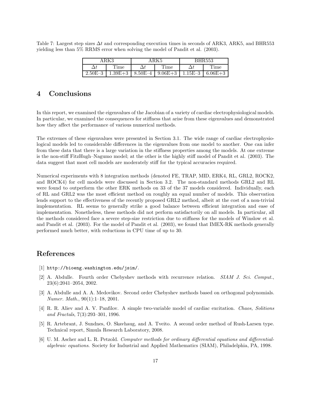Table 7: Largest step sizes  $\Delta t$  and corresponding execution times in seconds of ARK3, ARK5, and BHR553 yielding less than 5% RRMS error when solving the model of Pandit et al. (2003).

| ARK3                                                      | ARK5 |      | <b>BHR553</b> |
|-----------------------------------------------------------|------|------|---------------|
| Time                                                      |      | Time | Time          |
| 2.50E-3   1.39E+3   8.50E-4   9.06E+3   1.15E-3   6.06E+3 |      |      |               |

# 4 Conclusions

In this report, we examined the eigenvalues of the Jacobian of a variety of cardiac electrophysiological models. In particular, we examined the consequences for stiffness that arise from these eigenvalues and demonstrated how they affect the performance of various numerical methods.

The extremes of these eigenvalues were presented in Section 3.1. The wide range of cardiac electrophysiological models led to considerable differences in the eigenvalues from one model to another. One can infer from these data that there is a large variation in the stiffness properties among the models. At one extreme is the non-stiff FitzHugh–Nagumo model; at the other is the highly stiff model of Pandit et al. (2003). The data suggest that most cell models are moderately stiff for the typical accuracies required.

Numerical experiments with 8 integration methods (denoted FE, TRAP, MID, ERK4, RL, GRL2, ROCK2, and ROCK4) for cell models were discussed in Section 3.2. The non-standard methods GRL2 and RL were found to outperform the other ERK methods on 33 of the 37 models considered. Individually, each of RL and GRL2 was the most efficient method on roughly an equal number of models. This observation lends support to the effectiveness of the recently proposed GRL2 method, albeit at the cost of a non-trivial implementation. RL seems to generally strike a good balance between efficient integration and ease of implementation. Nonetheless, these methods did not perform satisfactorily on all models. In particular, all the methods considered face a severe step-size restriction due to stiffness for the models of Winslow et al. and Pandit et al. (2003). For the model of Pandit et al. (2003), we found that IMEX-RK methods generally performed much better, with reductions in CPU time of up to 30.

## References

- [1] http://bioeng.washington.edu/jsim/.
- [2] A. Abdulle. Fourth order Chebyshev methods with recurrence relation. SIAM J. Sci. Comput., 23(6):2041–2054, 2002.
- [3] A. Abdulle and A. A. Medovikov. Second order Chebyshev methods based on orthogonal polynomials. Numer. Math., 90(1):1–18, 2001.
- [4] R. R. Aliev and A. V. Panfilov. A simple two-variable model of cardiac excitation. Chaos, Solitions and Fractals, 7(3):293–301, 1996.
- [5] R. Artebrant, J. Sundnes, O. Skavhaug, and A. Tveito. A second order method of Rush-Larsen type. Technical report, Simula Research Laboratory, 2008.
- [6] U. M. Ascher and L. R. Petzold. Computer methods for ordinary differential equations and differentialalgebraic equations. Society for Industrial and Applied Mathematics (SIAM), Philadelphia, PA, 1998.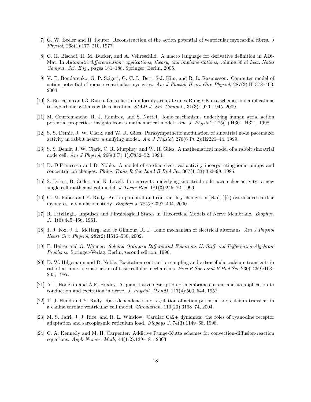- [7] G. W. Beeler and H. Reuter. Reconstruction of the action potential of ventricular myocardial fibres. J Physiol, 268(1):177–210, 1977.
- [8] C. H. Bischof, H. M. B¨ucker, and A. Vehreschild. A macro language for derivative definition in ADi-Mat. In Automatic differentiation: applications, theory, and implementations, volume 50 of Lect. Notes Comput. Sci. Eng., pages 181–188. Springer, Berlin, 2006.
- [9] V. E. Bondarenko, G. P. Szigeti, G. C. L. Bett, S-J. Kim, and R. L. Rasmusson. Computer model of action potential of mouse ventricular myocytes. Am J Physiol Heart Circ Physiol, 287(3):H1378–403, 2004.
- [10] S. Boscarino and G. Russo. On a class of uniformly accurate imex Runge–Kutta schemes and applications to hyperbolic systems with relaxation. SIAM J. Sci. Comput., 31(3):1926–1945, 2009.
- [11] M. Courtemanche, R. J. Ramirez, and S. Nattel. Ionic mechanisms underlying human atrial action potential properties: insights from a mathematical model. Am. J. Physiol., 275(1):H301–H321, 1998.
- [12] S. S. Demir, J. W. Clark, and W. R. Giles. Parasympathetic modulation of sinoatrial node pacemaker activity in rabbit heart: a unifying model. Am J Physiol, 276(6 Pt 2):H2221–44, 1999.
- [13] S. S. Demir, J. W. Clark, C. R. Murphey, and W. R. Giles. A mathematical model of a rabbit sinoatrial node cell. Am J Physiol, 266(3 Pt 1):C832–52, 1994.
- [14] D. DiFrancesco and D. Noble. A model of cardiac electrical activity incorporating ionic pumps and concentration changes. Philos Trans R Soc Lond B Biol Sci, 307(1133):353–98, 1985.
- [15] S. Dokos, B. Celler, and N. Lovell. Ion currents underlying sinoatrial node pacemaker activity: a new single cell mathematical model. J Theor Biol, 181(3):245–72, 1996.
- [16] G. M. Faber and Y. Rudy. Action potential and contractility changes in  $[Na(+)](i)$  overloaded cardiac myocytes: a simulation study. Biophys J, 78(5):2392–404, 2000.
- [17] R. FitzHugh. Impulses and Physiological States in Theoretical Models of Nerve Membrane. Biophys. J., 1(6):445–466, 1961.
- [18] J. J. Fox, J. L. McHarg, and Jr Gilmour, R. F. Ionic mechanism of electrical alternans. Am J Physiol Heart Circ Physiol, 282(2):H516–530, 2002.
- [19] E. Hairer and G. Wanner. Solving Ordinary Differential Equations II: Stiff and Differential-Algebraic Problems. Springer-Verlag, Berlin, second edition, 1996.
- [20] D. W. Hilgemann and D. Noble. Excitation-contraction coupling and extracellular calcium transients in rabbit atrium: reconstruction of basic cellular mechanisms. Proc R Soc Lond B Biol Sci, 230(1259):163– 205, 1987.
- [21] A.L. Hodgkin and A.F. Huxley. A quantitative description of membrane current and its application to conduction and excitation in nerve. J. Physiol. (Lond), 117(4):500–544, 1952.
- [22] T. J. Hund and Y. Rudy. Rate dependence and regulation of action potential and calcium transient in a canine cardiac ventricular cell model. Circulation, 110(20):3168–74, 2004.
- [23] M. S. Jafri, J. J. Rice, and R. L. Winslow. Cardiac Ca2+ dynamics: the roles of ryanodine receptor adaptation and sarcoplasmic reticulum load. Biophys J, 74(3):1149–68, 1998.
- [24] C. A. Kennedy and M. H. Carpenter. Additive Runge-Kutta schemes for convection-diffusion-reaction equations. Appl. Numer. Math, 44(1-2):139–181, 2003.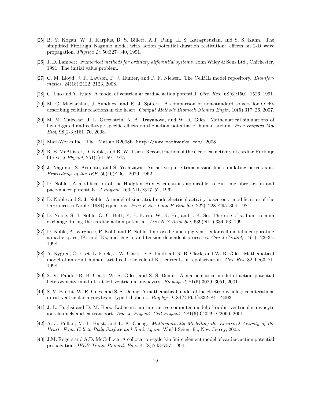- [25] B. Y. Kogan, W. J. Karplus, B. S. Billett, A.T. Pang, H. S. Karagueuzian, and S. S. Kahn. The simplified FitzHugh–Nagumo model with action potential duration restitution: effects on 2-D wave propagation. Physica D, 50:327–340, 1991.
- [26] J. D. Lambert. Numerical methods for ordinary differential systems. John Wiley & Sons Ltd., Chichester, 1991. The initial value problem.
- [27] C. M. Lloyd, J. R. Lawson, P. J. Hunter, and P. F. Nielsen. The CellML model repository. Bioinformatics, 24(18):2122–2123, 2008.
- [28] C. Luo and Y. Rudy. A model of ventricular cardiac action potential. Circ. Res., 68(6):1501–1526, 1991.
- [29] M. C. Maclachlan, J. Sundnes, and R. J. Spiteri. A comparison of non-standard solvers for ODEs describing cellular reactions in the heart. Comput Methods Biomech Biomed Engin, 10(5):317–26, 2007.
- [30] M. M. Maleckar, J. L. Greenstein, N. A. Trayanova, and W. R. Giles. Mathematical simulations of ligand-gated and cell-type specific effects on the action potential of human atrium. Prog Biophys Mol Biol, 98(2-3):161–70, 2008.
- [31] MathWorks Inc., The. Matlab R2008b. http://www.mathworks.com/, 2008.
- [32] R. E. McAllister, D. Noble, and R. W. Tsien. Reconstruction of the electrical activity of cardiac Purkinje fibres. *J Physiol*,  $251(1):1-59$ , 1975.
- [33] J. Nagumo, S. Arimoto, and S. Yoshizawa. An active pulse transmission line simulating nerve axon. Proceedings of the IRE, 50(10):2061–2070, 1962.
- [34] D. Noble. A modification of the Hodgkin–Huxley equations applicable to Purkinje fibre action and pace-maker potentials. J Physiol, 160(NIL):317–52, 1962.
- [35] D. Noble and S. J. Noble. A model of sino-atrial node electrical activity based on a modification of the DiFrancesco-Noble (1984) equations. Proc R Soc Lond B Biol Sci, 222(1228):295–304, 1984.
- [36] D. Noble, S. J. Noble, G. C. Bett, Y. E. Earm, W. K. Ho, and I. K. So. The role of sodium-calcium exchange during the cardiac action potential. Ann N Y Acad Sci,  $639(NIL):334-53$ , 1991.
- [37] D. Noble, A. Varghese, P. Kohl, and P. Noble. Improved guinea-pig ventricular cell model incorporating a diadic space, IKr and IKs, and length- and tension-dependent processes. Can J Cardiol, 14(1):123–34, 1998.
- [38] A. Nygren, C. Fiset, L. Firek, J. W. Clark, D. S. Lindblad, R. B. Clark, and W. R. Giles. Mathematical model of an adult human atrial cell: the role of  $K+$  currents in repolarization. Circ Res,  $82(1):63-81$ , 1998.
- [39] S. V. Pandit, R. B. Clark, W. R. Giles, and S. S. Demir. A mathematical model of action potential heterogeneity in adult rat left ventricular myocytes. *Biophys J*, 81(6):3029–3051, 2001.
- [40] S. V. Pandit, W. R. Giles, and S. S. Demir. A mathematical model of the electrophysiological alterations in rat ventricular myocytes in type-I diabetes. Biophys J, 84(2 Pt 1):832–841, 2003.
- [41] J. L. Puglisi and D. M. Bers. Labheart: an interactive computer model of rabbit ventricular myocyte ion channels and ca transport. Am. J. Physiol. Cell Physiol., 281(6):C2049–C2060, 2001.
- [42] A. J. Pullan, M. L. Buist, and L. K. Cheng. Mathematically Modelling the Electrical Activity of the Heart: From Cell to Body Surface and Back Again. World Scientific, New Jersey, 2005.
- [43] J.M. Rogers and A.D. McCulloch. A collocation–galerkin finite element model of cardiac action potential propagation. IEEE Trans. Biomed. Eng., 41(8):743–757, 1994.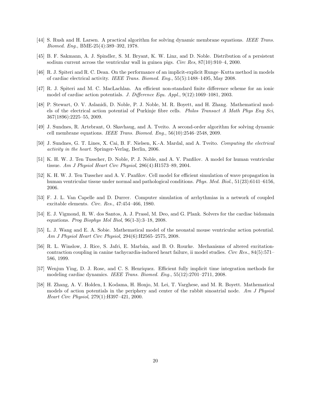- [44] S. Rush and H. Larsen. A practical algorithm for solving dynamic membrane equations. IEEE Trans. Biomed. Eng., BME-25(4):389–392, 1978.
- [45] B. F. Sakmann, A. J. Spindler, S. M. Bryant, K. W. Linz, and D. Noble. Distribution of a persistent sodium current across the ventricular wall in guinea pigs. Circ Res, 87(10):910-4, 2000.
- [46] R. J. Spiteri and R. C. Dean. On the performance of an implicit-explicit Runge–Kutta method in models of cardiac electrical activity. IEEE Trans. Biomed. Eng., 55(5):1488–1495, May 2008.
- [47] R. J. Spiteri and M. C. MacLachlan. An efficient non-standard finite difference scheme for an ionic model of cardiac action potentials. J. Difference Equ. Appl., 9(12):1069–1081, 2003.
- [48] P. Stewart, O. V. Aslanidi, D. Noble, P. J. Noble, M. R. Boyett, and H. Zhang. Mathematical models of the electrical action potential of Purkinje fibre cells. Philos Transact A Math Phys Eng Sci, 367(1896):2225–55, 2009.
- [49] J. Sundnes, R. Artebrant, O. Skavhaug, and A. Tveito. A second-order algorithm for solving dynamic cell membrane equations. IEEE Trans. Biomed. Eng., 56(10):2546–2548, 2009.
- [50] J. Sundnes, G. T. Lines, X. Cai, B. F. Nielsen, K.-A. Mardal, and A. Tveito. Computing the electrical activity in the heart. Springer-Verlag, Berlin, 2006.
- [51] K. H. W. J. Ten Tusscher, D. Noble, P. J. Noble, and A. V. Panfilov. A model for human ventricular tissue. Am J Physiol Heart Circ Physiol, 286(4):H1573–89, 2004.
- [52] K. H. W. J. Ten Tusscher and A. V. Panfilov. Cell model for efficient simulation of wave propagation in human ventricular tissue under normal and pathological conditions. Phys. Med. Biol., 51(23):6141–6156, 2006.
- [53] F. J. L. Van Capelle and D. Durrer. Computer simulation of arrhythmias in a network of coupled excitable elements. Circ. Res., 47:454–466, 1980.
- [54] E. J. Vigmond, R. W. dos Santos, A. J. Prassl, M. Deo, and G. Plank. Solvers for the cardiac bidomain equations. Prog Biophys Mol Biol, 96(1-3):3–18, 2008.
- [55] L. J. Wang and E. A. Sobie. Mathematical model of the neonatal mouse ventricular action potential. Am J Physiol Heart Circ Physiol, 294(6):H2565–2575, 2008.
- [56] R. L. Winslow, J. Rice, S. Jafri, E. Marb´an, and B. O. Rourke. Mechanisms of altered excitationcontraction coupling in canine tachycardia-induced heart failure, ii model studies. Circ Res., 84(5):571– 586, 1999.
- [57] Wenjun Ying, D. J. Rose, and C. S. Henriquez. Efficient fully implicit time integration methods for modeling cardiac dynamics. IEEE Trans. Biomed. Eng., 55(12):2701–2711, 2008.
- [58] H. Zhang, A. V. Holden, I. Kodama, H. Honjo, M. Lei, T. Varghese, and M. R. Boyett. Mathematical models of action potentials in the periphery and center of the rabbit sinoatrial node. Am J Physiol Heart Circ Physiol, 279(1):H397–421, 2000.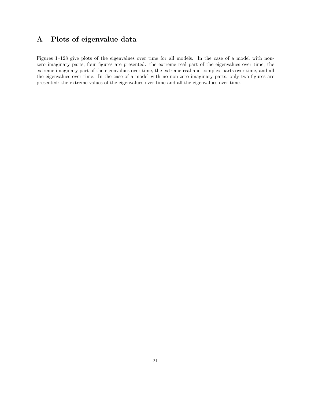# A Plots of eigenvalue data

Figures 1–128 give plots of the eigenvalues over time for all models. In the case of a model with nonzero imaginary parts, four figures are presented: the extreme real part of the eigenvalues over time, the extreme imaginary part of the eigenvalues over time, the extreme real and complex parts over time, and all the eigenvalues over time. In the case of a model with no non-zero imaginary parts, only two figures are presented: the extreme values of the eigenvalues over time and all the eigenvalues over time.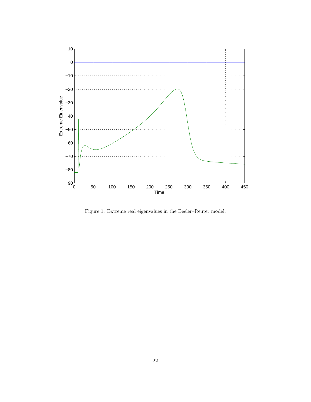

Figure 1: Extreme real eigenvalues in the Beeler–Reuter model.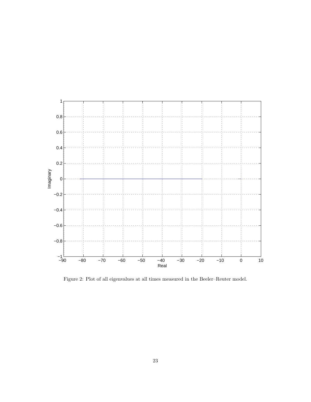

Figure 2: Plot of all eigenvalues at all times measured in the Beeler–Reuter model.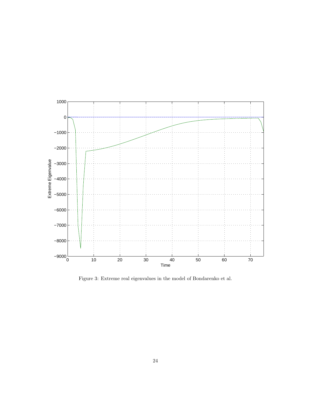

Figure 3: Extreme real eigenvalues in the model of Bondarenko et al.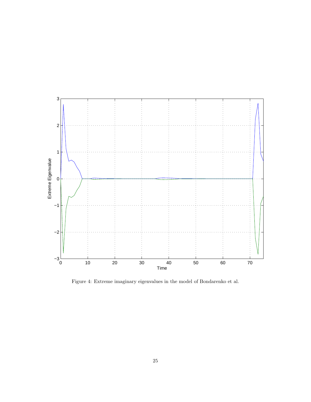

Figure 4: Extreme imaginary eigenvalues in the model of Bondarenko et al.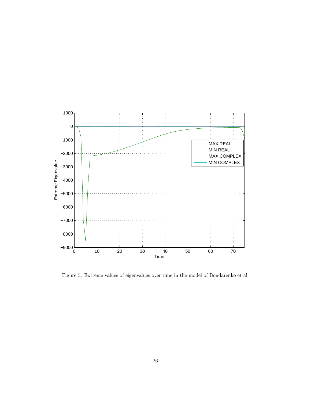

Figure 5: Extreme values of eigenvalues over time in the model of Bondarenko et al.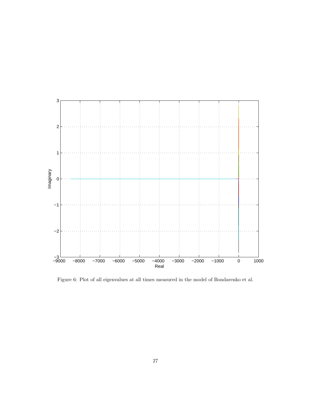

Figure 6: Plot of all eigenvalues at all times measured in the model of Bondarenko et al.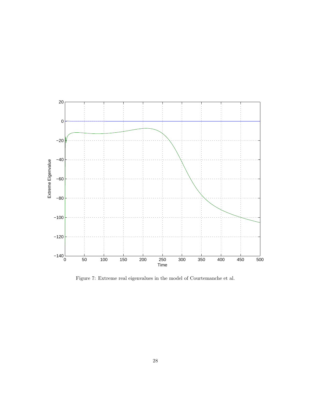

Figure 7: Extreme real eigenvalues in the model of Courtemanche et al.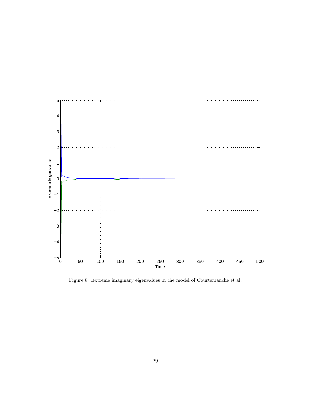

Figure 8: Extreme imaginary eigenvalues in the model of Courtemanche et al.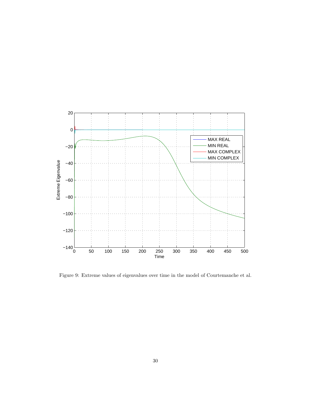

Figure 9: Extreme values of eigenvalues over time in the model of Courtemanche et al.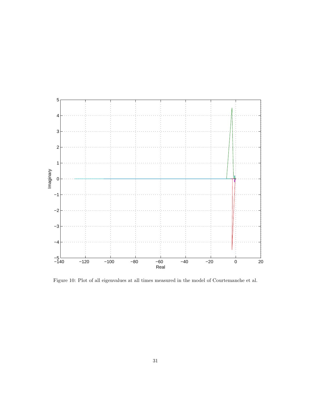

Figure 10: Plot of all eigenvalues at all times measured in the model of Courtemanche et al.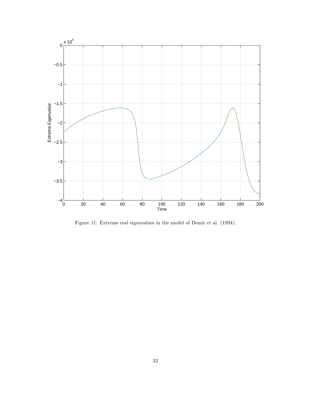

Figure 11: Extreme real eigenvalues in the model of Demir et al. (1994).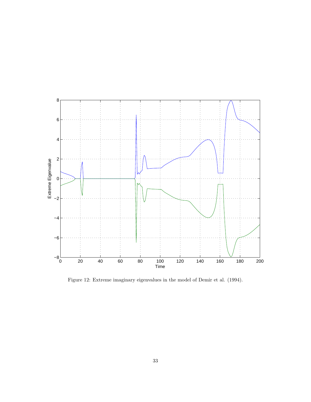

Figure 12: Extreme imaginary eigenvalues in the model of Demir et al. (1994).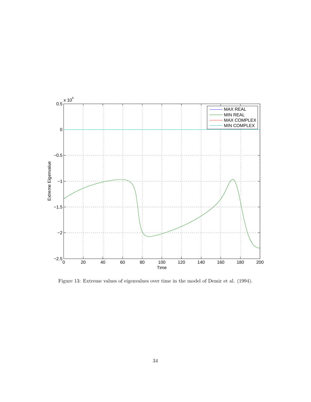

Figure 13: Extreme values of eigenvalues over time in the model of Demir et al. (1994).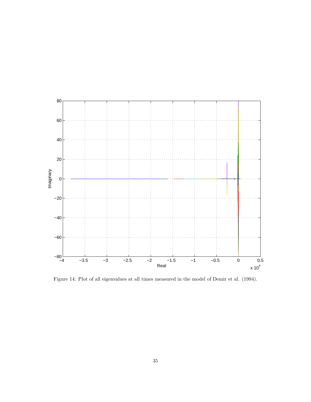

Figure 14: Plot of all eigenvalues at all times measured in the model of Demir et al. (1994).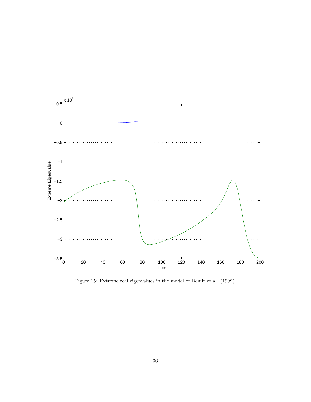

Figure 15: Extreme real eigenvalues in the model of Demir et al. (1999).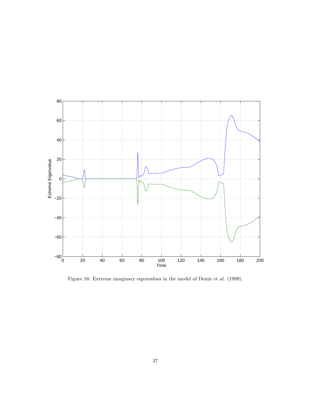

Figure 16: Extreme imaginary eigenvalues in the model of Demir et al. (1999).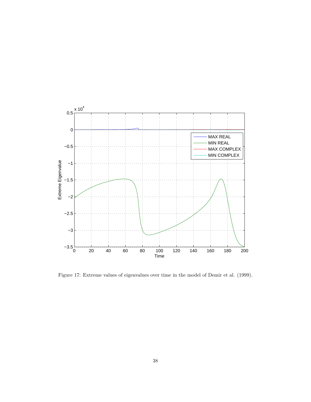

Figure 17: Extreme values of eigenvalues over time in the model of Demir et al. (1999).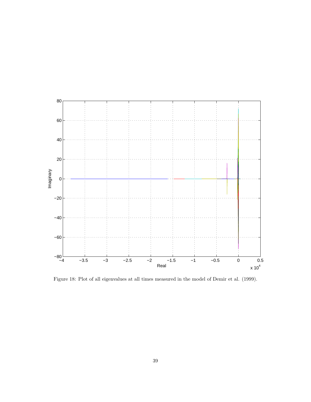

Figure 18: Plot of all eigenvalues at all times measured in the model of Demir et al. (1999).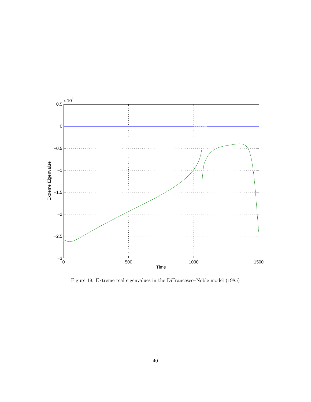

Figure 19: Extreme real eigenvalues in the DiFrancesco–Noble model (1985)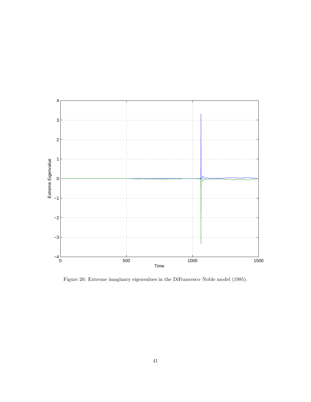

Figure 20: Extreme imaginary eigenvalues in the DiFrancesco–Noble model (1985).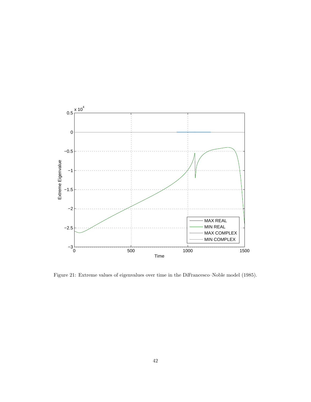

Figure 21: Extreme values of eigenvalues over time in the DiFrancesco–Noble model (1985).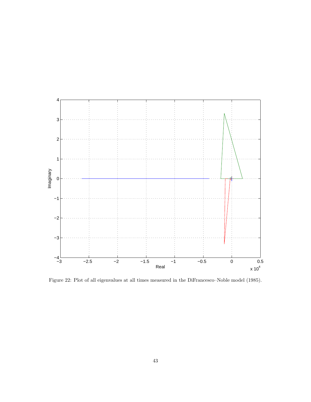

Figure 22: Plot of all eigenvalues at all times measured in the DiFrancesco–Noble model (1985).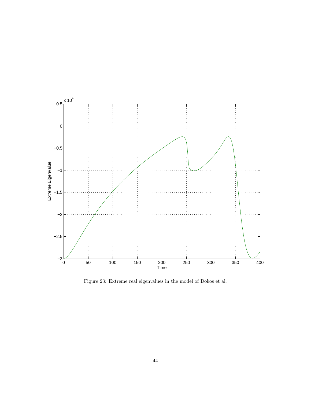

Figure 23: Extreme real eigenvalues in the model of Dokos et al.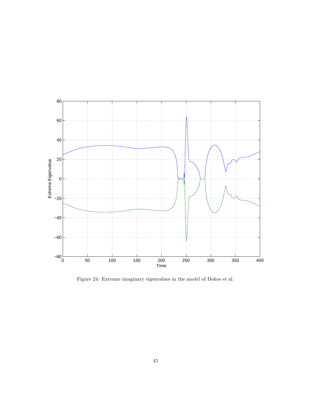

Figure 24: Extreme imaginary eigenvalues in the model of Dokos et al.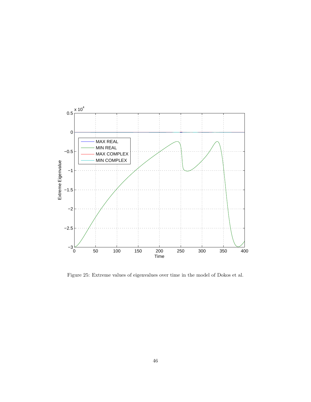

Figure 25: Extreme values of eigenvalues over time in the model of Dokos et al.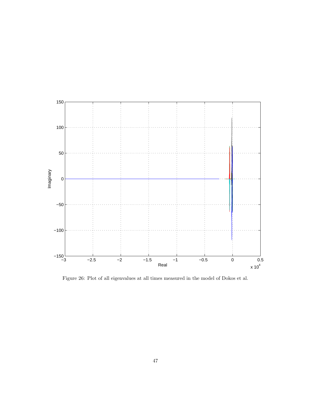

Figure 26: Plot of all eigenvalues at all times measured in the model of Dokos et al.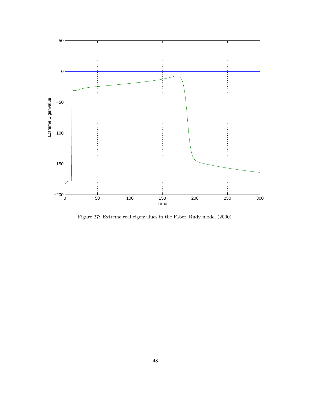

Figure 27: Extreme real eigenvalues in the Faber–Rudy model (2000).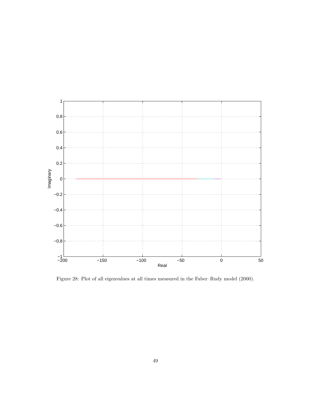

Figure 28: Plot of all eigenvalues at all times measured in the Faber–Rudy model (2000).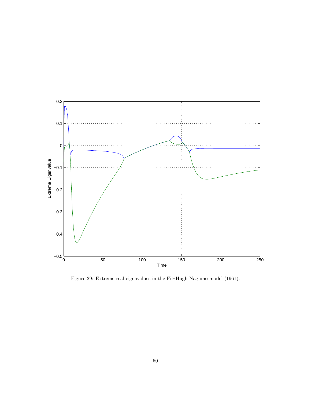

Figure 29: Extreme real eigenvalues in the FitzHugh-Nagumo model (1961).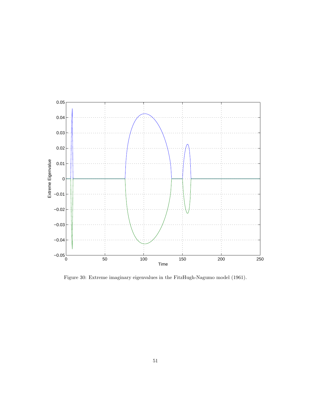

Figure 30: Extreme imaginary eigenvalues in the FitzHugh-Nagumo model (1961).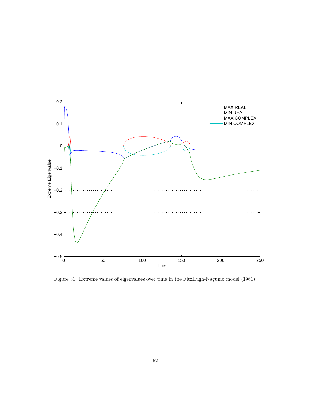

Figure 31: Extreme values of eigenvalues over time in the FitzHugh-Nagumo model (1961).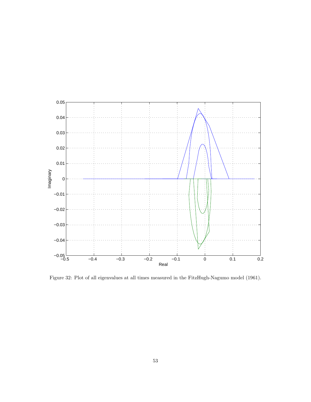

Figure 32: Plot of all eigenvalues at all times measured in the FitzHugh-Nagumo model (1961).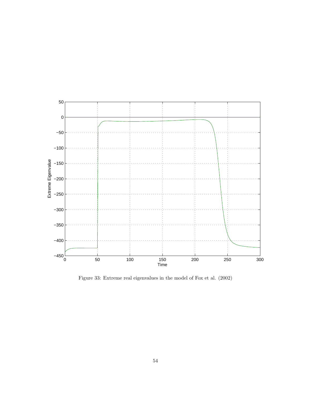

Figure 33: Extreme real eigenvalues in the model of Fox et al. (2002)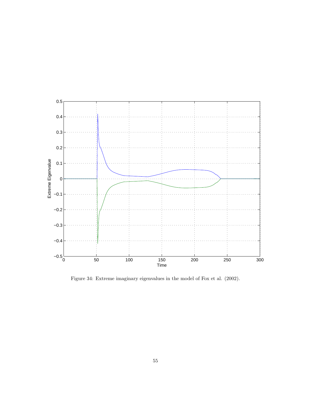

Figure 34: Extreme imaginary eigenvalues in the model of Fox et al. (2002).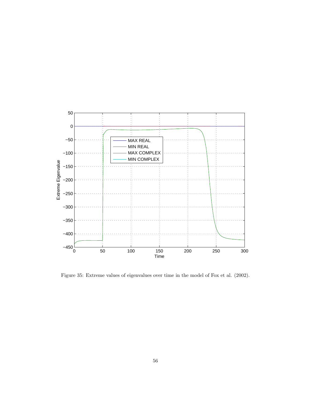

Figure 35: Extreme values of eigenvalues over time in the model of Fox et al. (2002).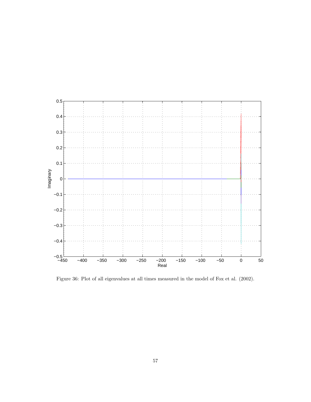

Figure 36: Plot of all eigenvalues at all times measured in the model of Fox et al. (2002).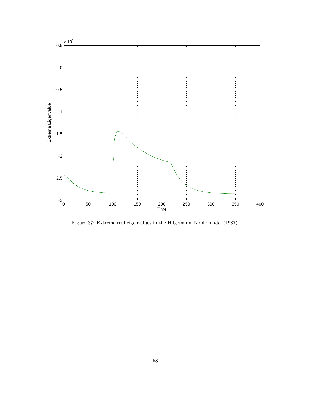

Figure 37: Extreme real eigenvalues in the Hilgemann–Noble model (1987).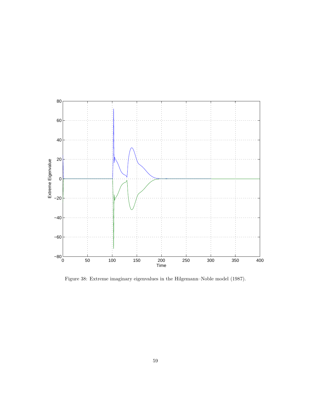

Figure 38: Extreme imaginary eigenvalues in the Hilgemann–Noble model (1987).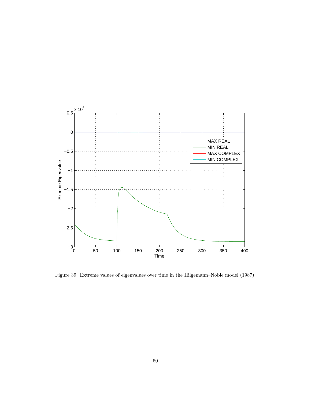

Figure 39: Extreme values of eigenvalues over time in the Hilgemann–Noble model (1987).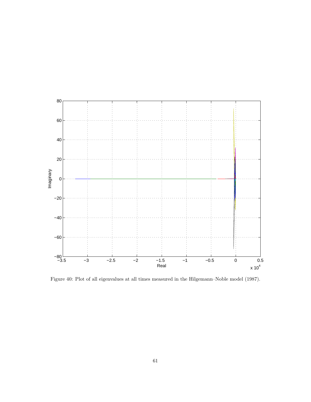

Figure 40: Plot of all eigenvalues at all times measured in the Hilgemann–Noble model (1987).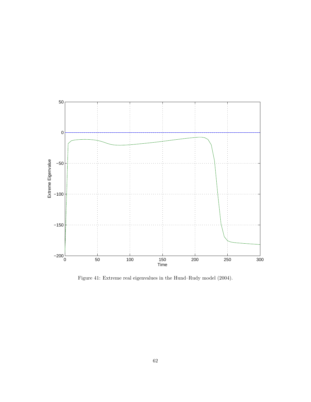

Figure 41: Extreme real eigenvalues in the Hund–Rudy model (2004).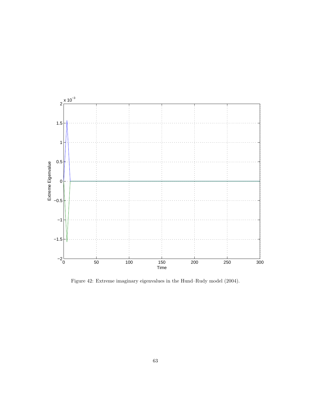

Figure 42: Extreme imaginary eigenvalues in the Hund–Rudy model (2004).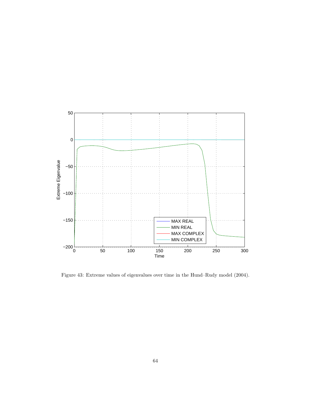

Figure 43: Extreme values of eigenvalues over time in the Hund–Rudy model (2004).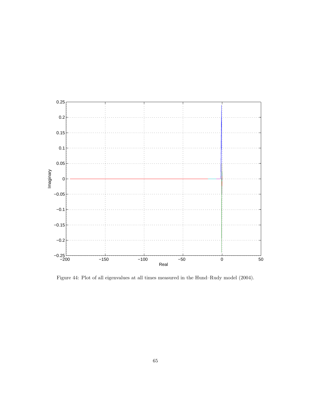

Figure 44: Plot of all eigenvalues at all times measured in the Hund–Rudy model (2004).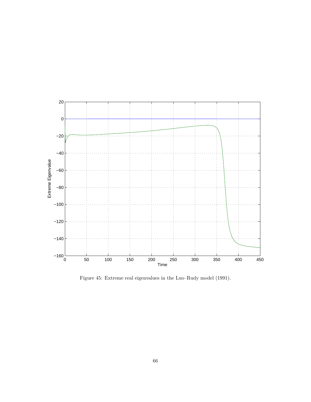

Figure 45: Extreme real eigenvalues in the Luo–Rudy model (1991).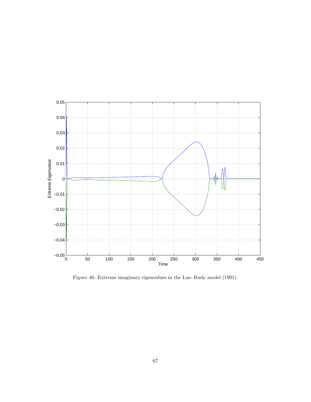

Figure 46: Extreme imaginary eigenvalues in the Luo–Rudy model (1991).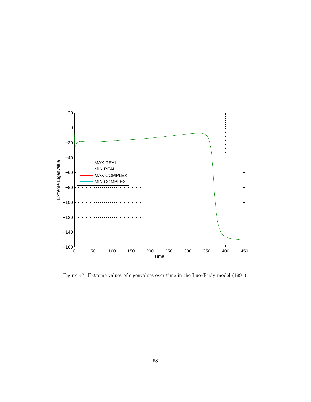

Figure 47: Extreme values of eigenvalues over time in the Luo–Rudy model (1991).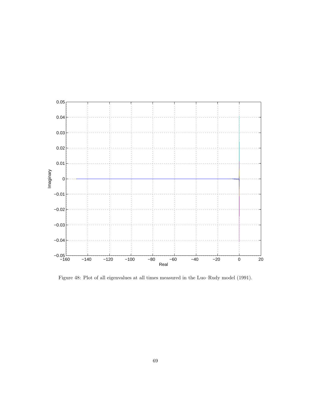

Figure 48: Plot of all eigenvalues at all times measured in the Luo–Rudy model (1991).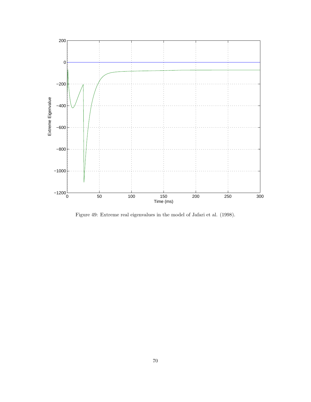

Figure 49: Extreme real eigenvalues in the model of Jafari et al. (1998).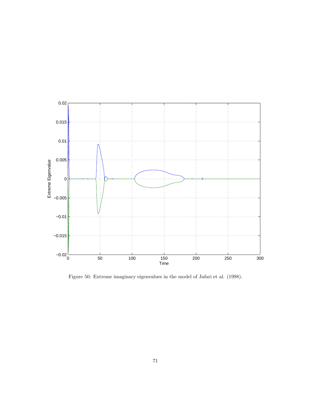

Figure 50: Extreme imaginary eigenvalues in the model of Jafari et al. (1998).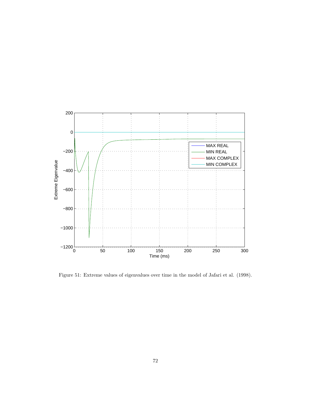

Figure 51: Extreme values of eigenvalues over time in the model of Jafari et al. (1998).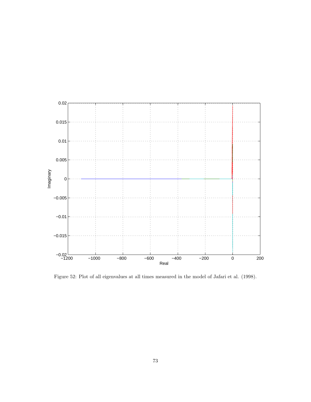

Figure 52: Plot of all eigenvalues at all times measured in the model of Jafari et al. (1998).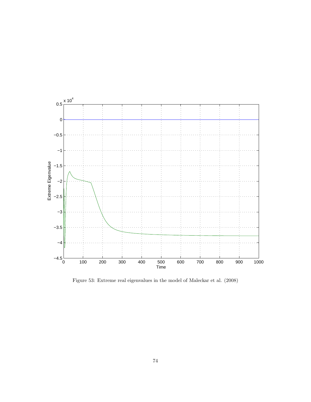

Figure 53: Extreme real eigenvalues in the model of Maleckar et al. (2008)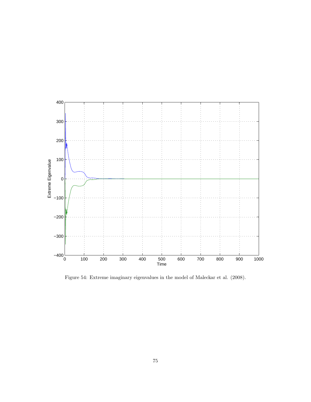

Figure 54: Extreme imaginary eigenvalues in the model of Maleckar et al. (2008).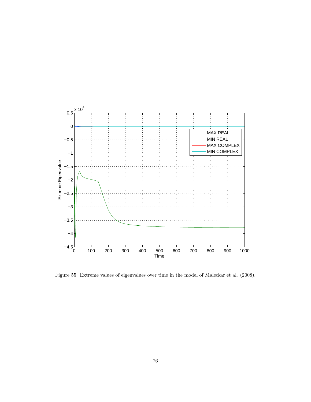

Figure 55: Extreme values of eigenvalues over time in the model of Maleckar et al. (2008).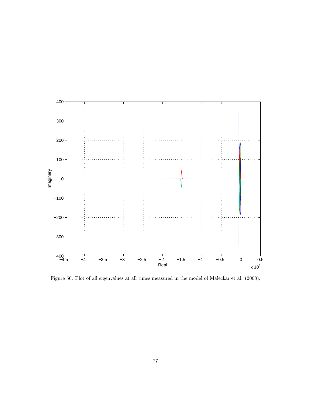

Figure 56: Plot of all eigenvalues at all times measured in the model of Maleckar et al. (2008).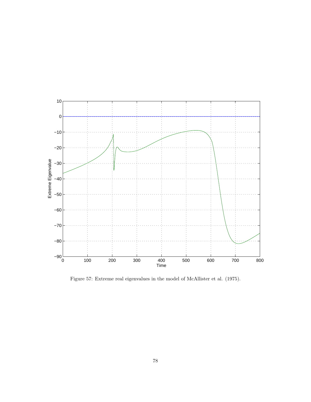

Figure 57: Extreme real eigenvalues in the model of McAllister et al. (1975).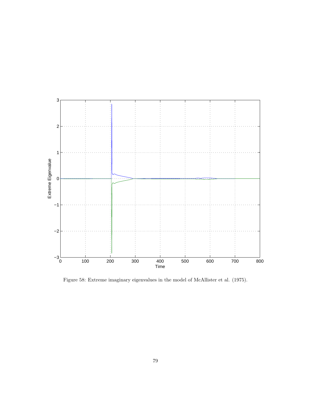

Figure 58: Extreme imaginary eigenvalues in the model of McAllister et al. (1975).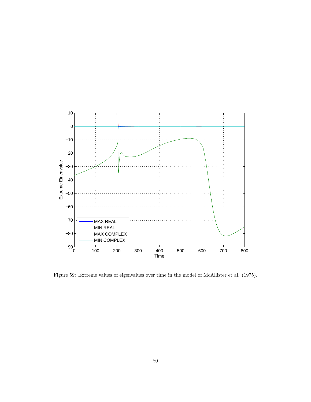

Figure 59: Extreme values of eigenvalues over time in the model of McAllister et al. (1975).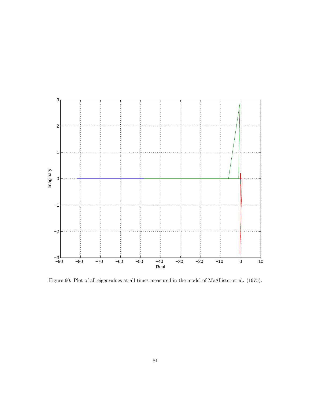

Figure 60: Plot of all eigenvalues at all times measured in the model of McAllister et al. (1975).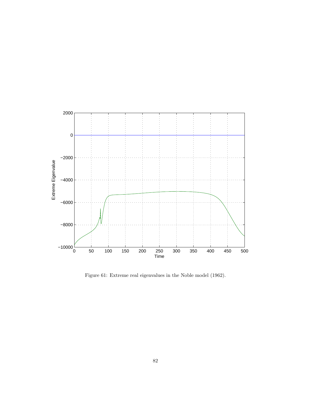

Figure 61: Extreme real eigenvalues in the Noble model (1962).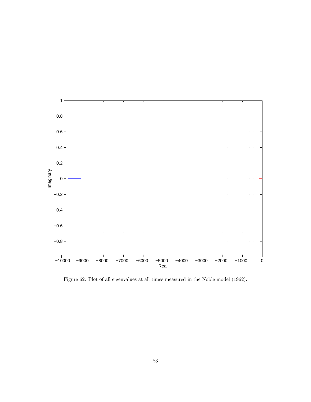

Figure 62: Plot of all eigenvalues at all times measured in the Noble model (1962).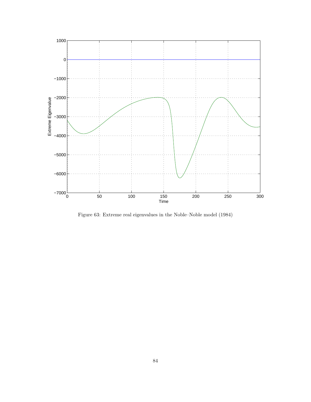

Figure 63: Extreme real eigenvalues in the Noble–Noble model (1984)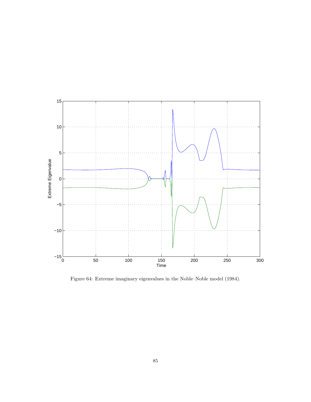

Figure 64: Extreme imaginary eigenvalues in the Noble–Noble model (1984).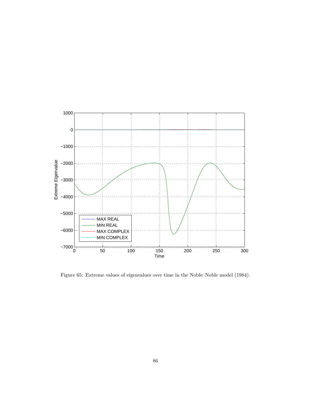

Figure 65: Extreme values of eigenvalues over time in the Noble–Noble model (1984).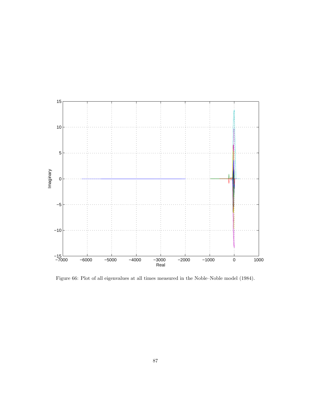

Figure 66: Plot of all eigenvalues at all times measured in the Noble–Noble model (1984).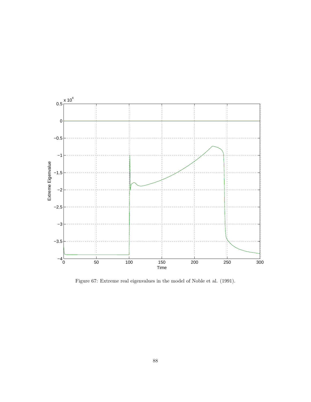

Figure 67: Extreme real eigenvalues in the model of Noble et al. (1991).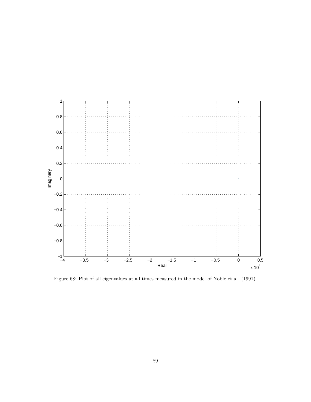

Figure 68: Plot of all eigenvalues at all times measured in the model of Noble et al. (1991).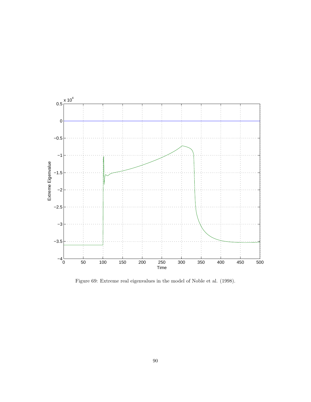

Figure 69: Extreme real eigenvalues in the model of Noble et al. (1998).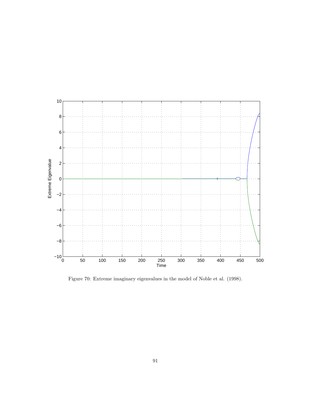

Figure 70: Extreme imaginary eigenvalues in the model of Noble et al. (1998).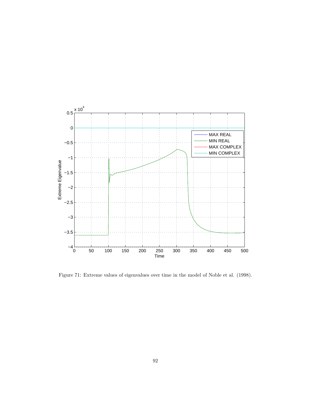

Figure 71: Extreme values of eigenvalues over time in the model of Noble et al. (1998).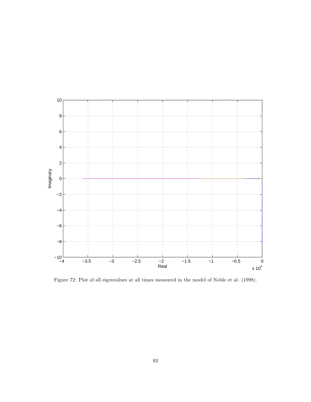

Figure 72: Plot of all eigenvalues at all times measured in the model of Noble et al. (1998).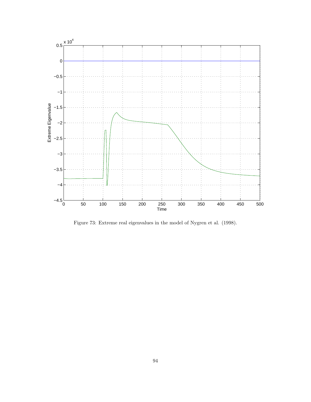

Figure 73: Extreme real eigenvalues in the model of Nygren et al. (1998).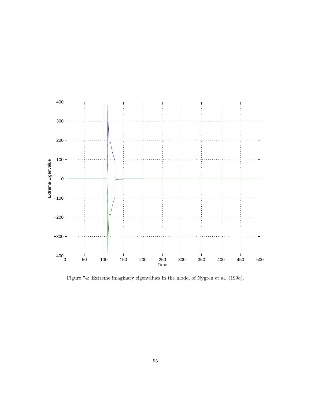

Figure 74: Extreme imaginary eigenvalues in the model of Nygren et al. (1998).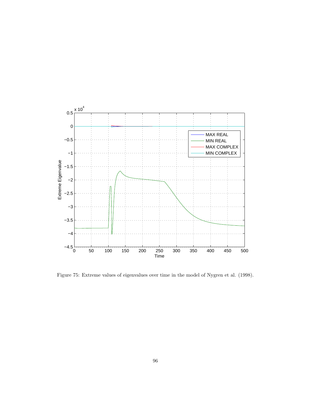

Figure 75: Extreme values of eigenvalues over time in the model of Nygren et al. (1998).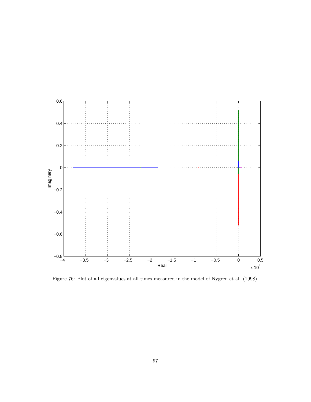

Figure 76: Plot of all eigenvalues at all times measured in the model of Nygren et al. (1998).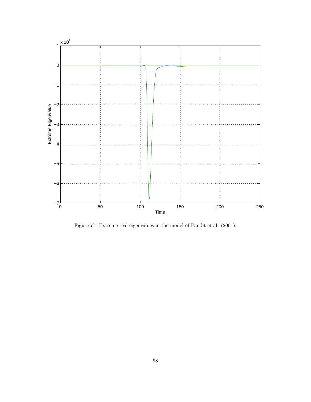

Figure 77: Extreme real eigenvalues in the model of Pandit et al. (2001).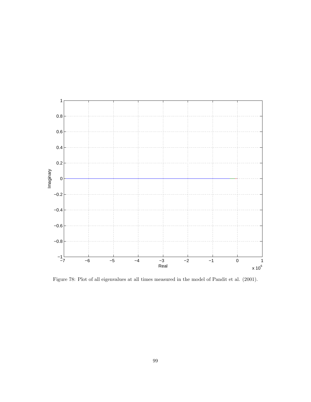

Figure 78: Plot of all eigenvalues at all times measured in the model of Pandit et al. (2001).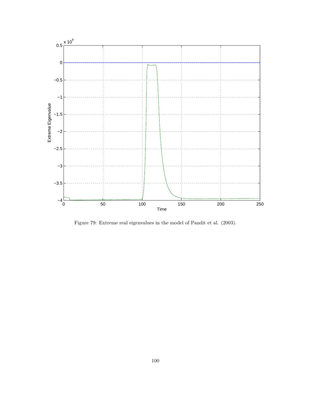

Figure 79: Extreme real eigenvalues in the model of Pandit et al. (2003).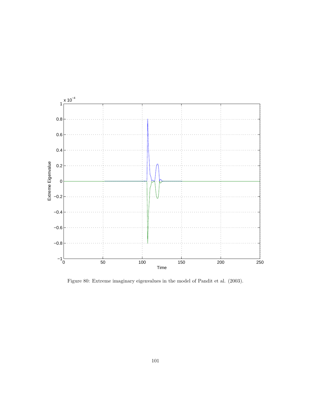

Figure 80: Extreme imaginary eigenvalues in the model of Pandit et al. (2003).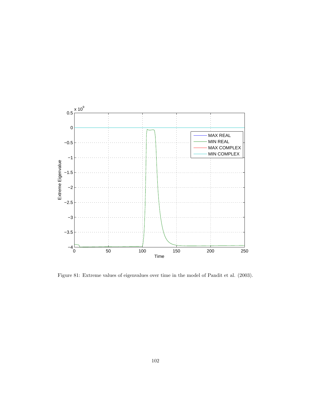

Figure 81: Extreme values of eigenvalues over time in the model of Pandit et al. (2003).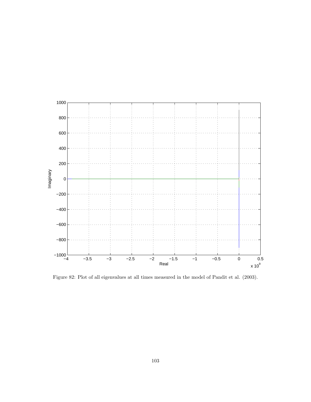

Figure 82: Plot of all eigenvalues at all times measured in the model of Pandit et al. (2003).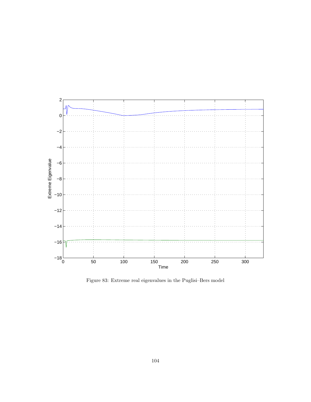

Figure 83: Extreme real eigenvalues in the Puglisi–Bers model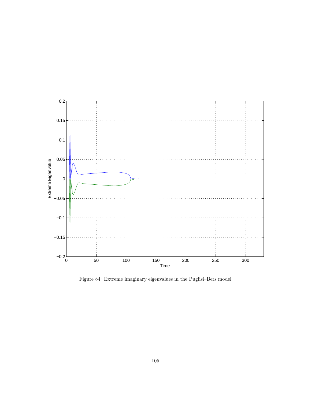

Figure 84: Extreme imaginary eigenvalues in the Puglisi–Bers model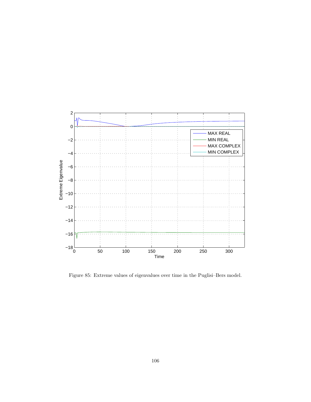

Figure 85: Extreme values of eigenvalues over time in the Puglisi–Bers model.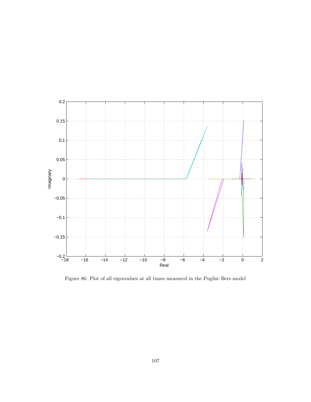

Figure 86: Plot of all eigenvalues at all times measured in the Puglisi–Bers model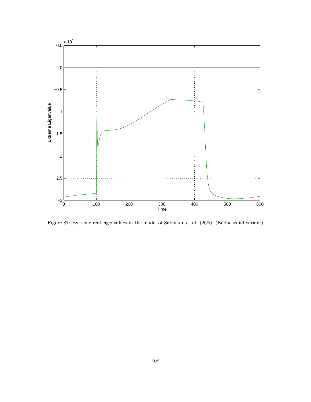

Figure 87: Extreme real eigenvalues in the model of Sakmann et al. (2000) (Endocardial variant)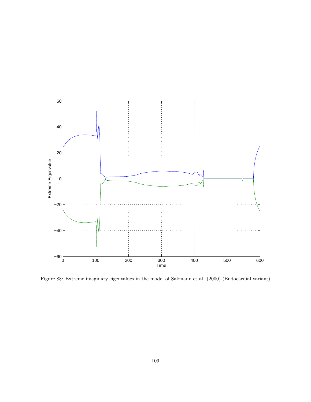

Figure 88: Extreme imaginary eigenvalues in the model of Sakmann et al. (2000) (Endocardial variant)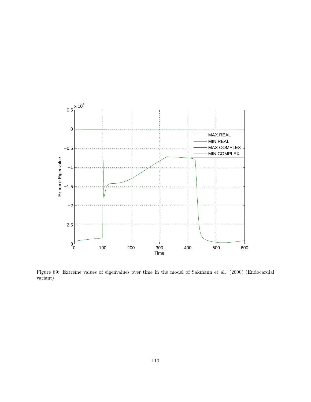

Figure 89: Extreme values of eigenvalues over time in the model of Sakmann et al. (2000) (Endocardial variant)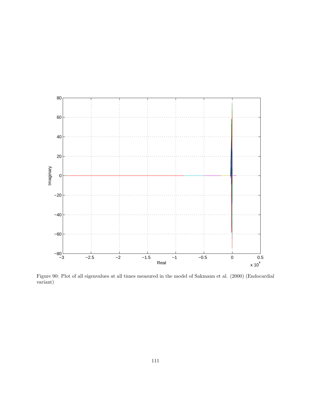

Figure 90: Plot of all eigenvalues at all times measured in the model of Sakmann et al. (2000) (Endocardial variant)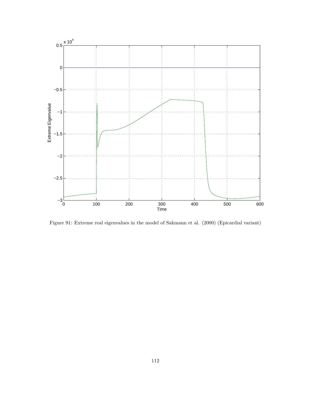

Figure 91: Extreme real eigenvalues in the model of Sakmann et al. (2000) (Epicardial variant)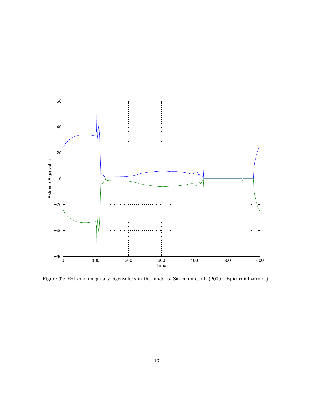

Figure 92: Extreme imaginary eigenvalues in the model of Sakmann et al. (2000) (Epicardial variant)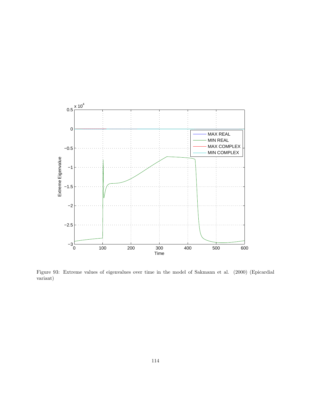

Figure 93: Extreme values of eigenvalues over time in the model of Sakmann et al. (2000) (Epicardial variant)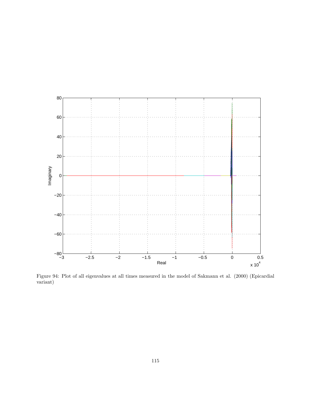

Figure 94: Plot of all eigenvalues at all times measured in the model of Sakmann et al. (2000) (Epicardial variant)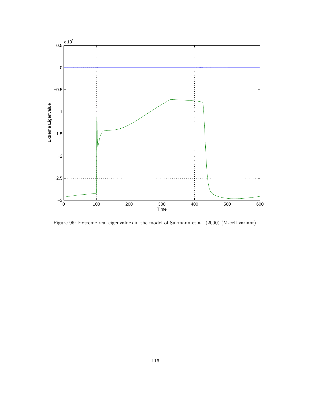

Figure 95: Extreme real eigenvalues in the model of Sakmann et al. (2000) (M-cell variant).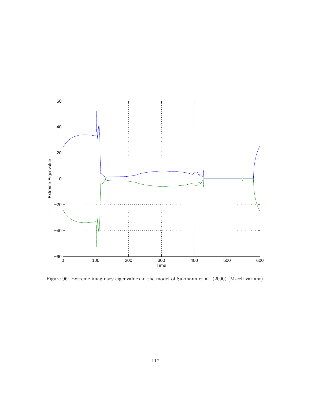

Figure 96: Extreme imaginary eigenvalues in the model of Sakmann et al. (2000) (M-cell variant).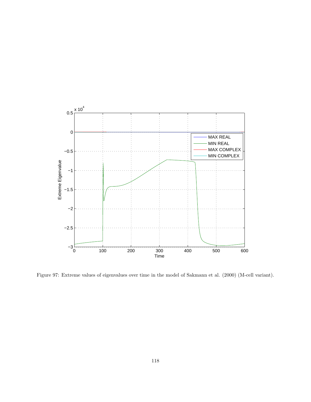

Figure 97: Extreme values of eigenvalues over time in the model of Sakmann et al. (2000) (M-cell variant).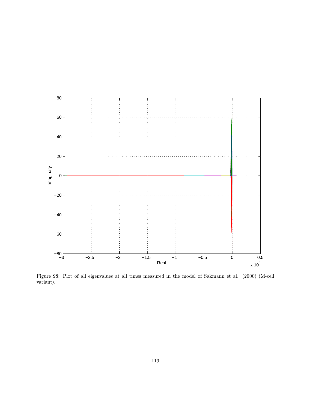

Figure 98: Plot of all eigenvalues at all times measured in the model of Sakmann et al. (2000) (M-cell variant).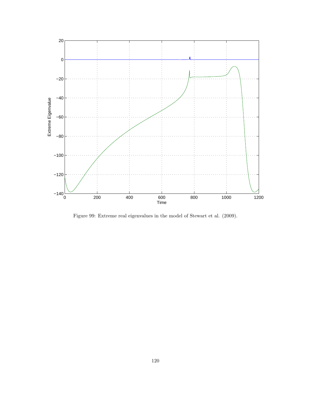

Figure 99: Extreme real eigenvalues in the model of Stewart et al. (2009).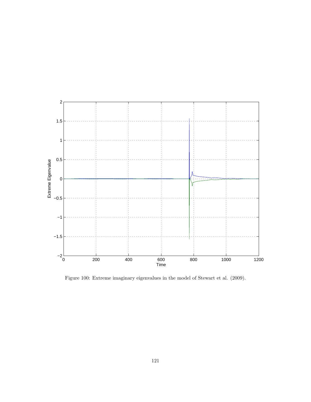

Figure 100: Extreme imaginary eigenvalues in the model of Stewart et al. (2009).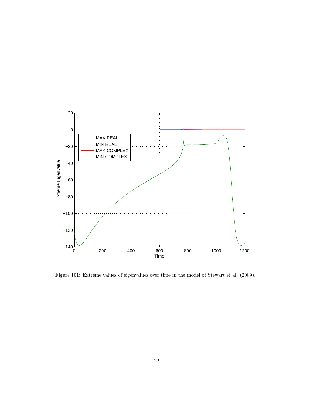

Figure 101: Extreme values of eigenvalues over time in the model of Stewart et al. (2009).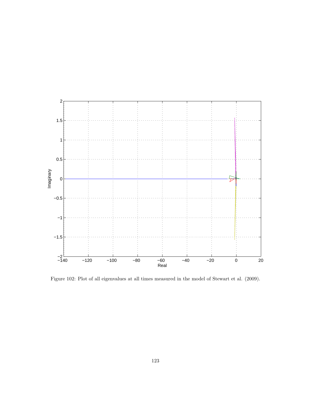

Figure 102: Plot of all eigenvalues at all times measured in the model of Stewart et al. (2009).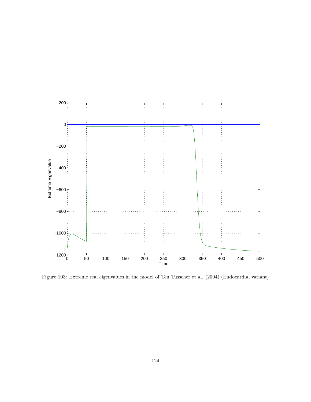

Figure 103: Extreme real eigenvalues in the model of Ten Tusscher et al. (2004) (Endocardial variant)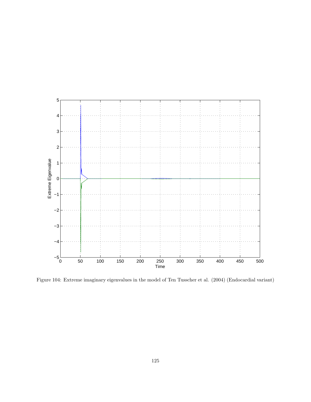

Figure 104: Extreme imaginary eigenvalues in the model of Ten Tusscher et al. (2004) (Endocardial variant)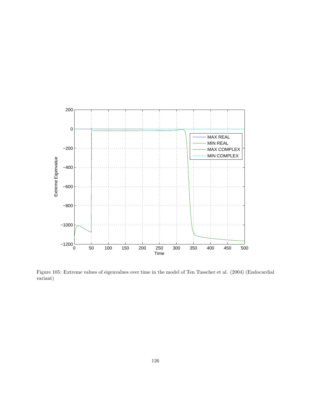

Figure 105: Extreme values of eigenvalues over time in the model of Ten Tusscher et al. (2004) (Endocardial variant)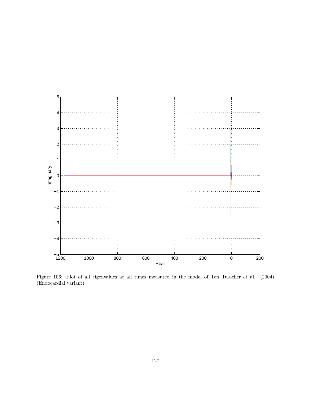

Figure 106: Plot of all eigenvalues at all times measured in the model of Ten Tusscher et al. (2004) (Endocardial variant)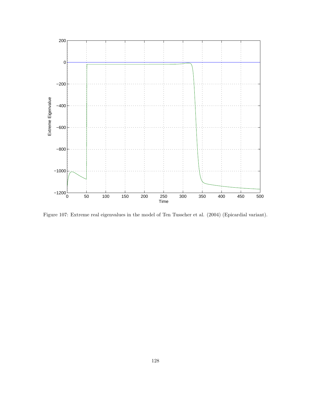

Figure 107: Extreme real eigenvalues in the model of Ten Tusscher et al. (2004) (Epicardial variant).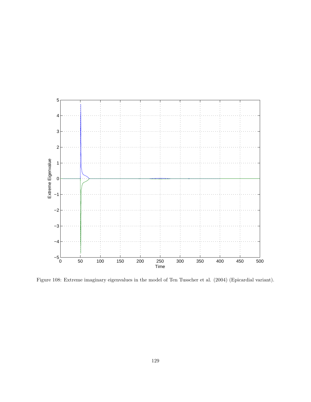

Figure 108: Extreme imaginary eigenvalues in the model of Ten Tusscher et al. (2004) (Epicardial variant).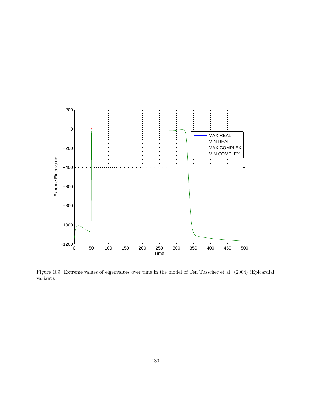

Figure 109: Extreme values of eigenvalues over time in the model of Ten Tusscher et al. (2004) (Epicardial variant).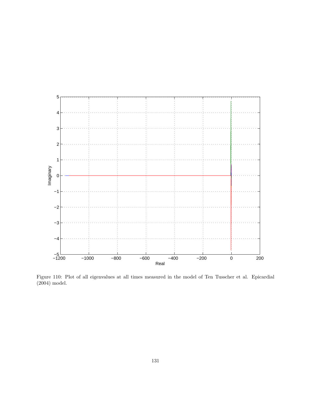

Figure 110: Plot of all eigenvalues at all times measured in the model of Ten Tusscher et al. Epicardial (2004) model.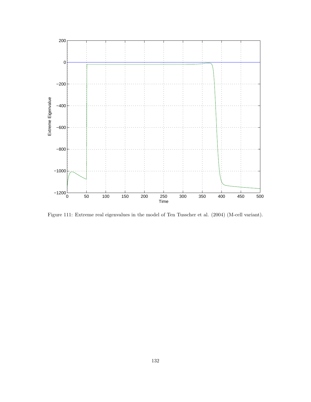

Figure 111: Extreme real eigenvalues in the model of Ten Tusscher et al. (2004) (M-cell variant).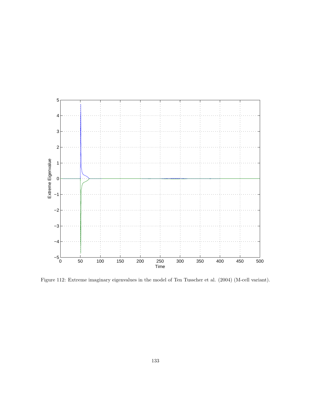

Figure 112: Extreme imaginary eigenvalues in the model of Ten Tusscher et al. (2004) (M-cell variant).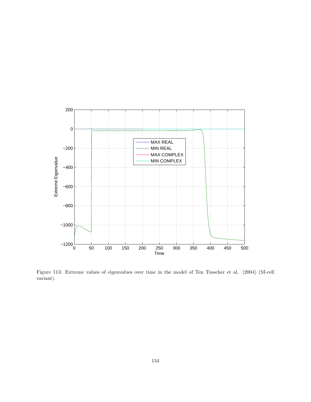

Figure 113: Extreme values of eigenvalues over time in the model of Ten Tusscher et al. (2004) (M-cell variant).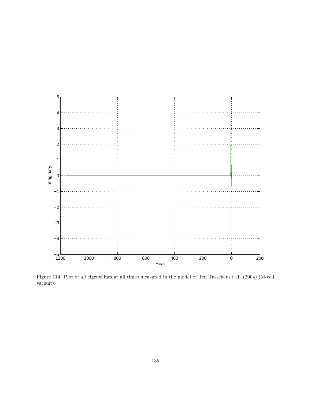

Figure 114: Plot of all eigenvalues at all times measured in the model of Ten Tusscher et al. (2004) (M-cell variant).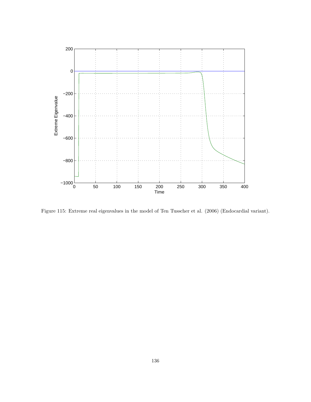

Figure 115: Extreme real eigenvalues in the model of Ten Tusscher et al. (2006) (Endocardial variant).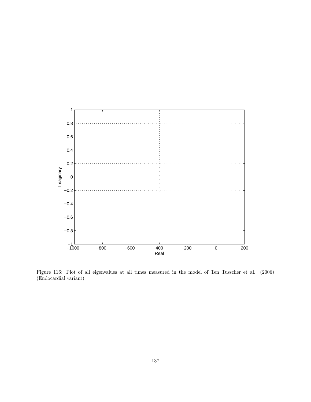

Figure 116: Plot of all eigenvalues at all times measured in the model of Ten Tusscher et al. (2006) (Endocardial variant).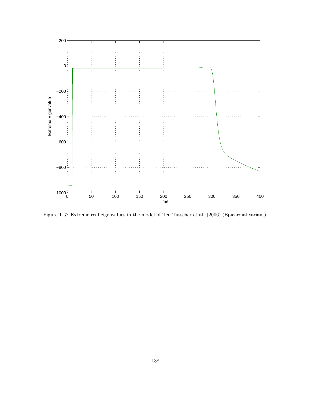

Figure 117: Extreme real eigenvalues in the model of Ten Tusscher et al. (2006) (Epicardial variant).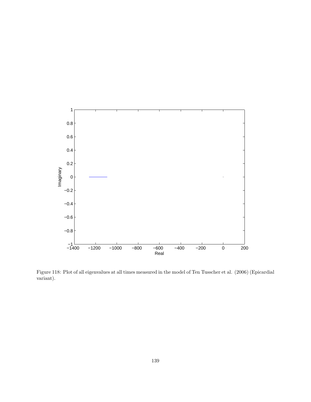

Figure 118: Plot of all eigenvalues at all times measured in the model of Ten Tusscher et al. (2006) (Epicardial variant).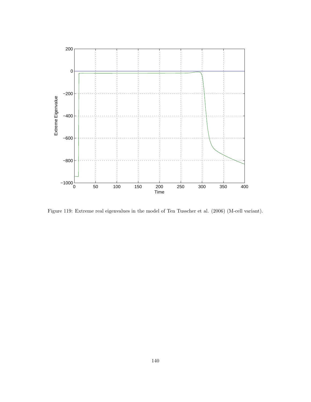

Figure 119: Extreme real eigenvalues in the model of Ten Tusscher et al. (2006) (M-cell variant).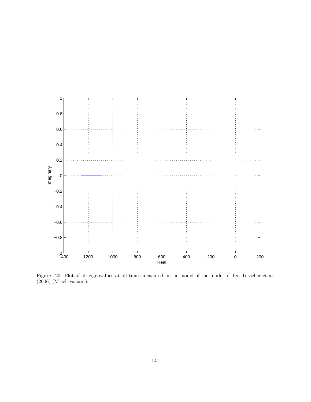

Figure 120: Plot of all eigenvalues at all times measured in the model of the model of Ten Tusscher et al. (2006) (M-cell variant).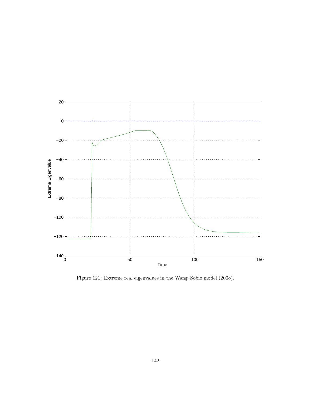

Figure 121: Extreme real eigenvalues in the Wang–Sobie model (2008).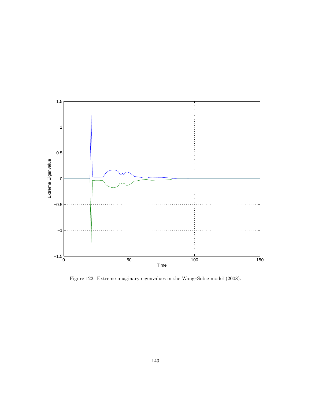

Figure 122: Extreme imaginary eigenvalues in the Wang–Sobie model (2008).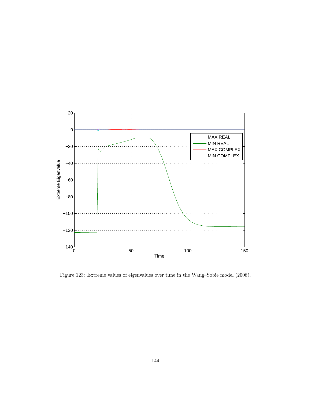

Figure 123: Extreme values of eigenvalues over time in the Wang–Sobie model (2008).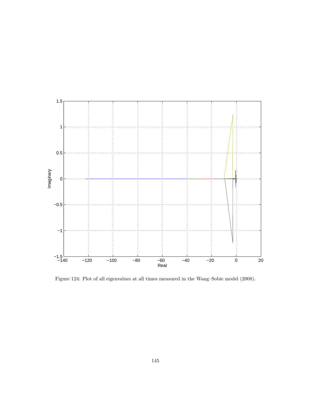

Figure 124: Plot of all eigenvalues at all times measured in the Wang–Sobie model (2008).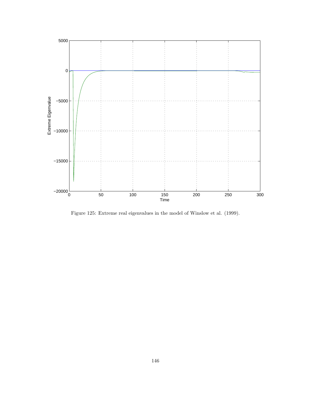

Figure 125: Extreme real eigenvalues in the model of Winslow et al. (1999).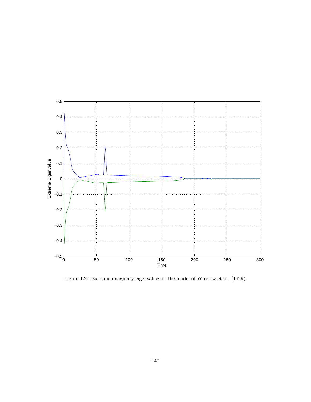

Figure 126: Extreme imaginary eigenvalues in the model of Winslow et al. (1999).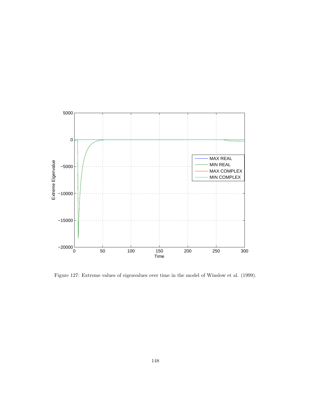

Figure 127: Extreme values of eigenvalues over time in the model of Winslow et al. (1999).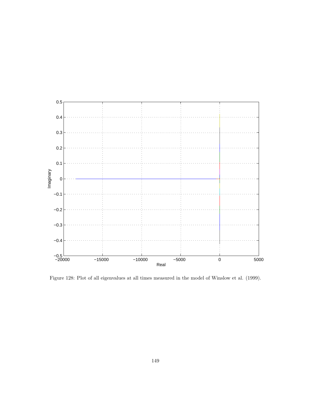

Figure 128: Plot of all eigenvalues at all times measured in the model of Winslow et al. (1999).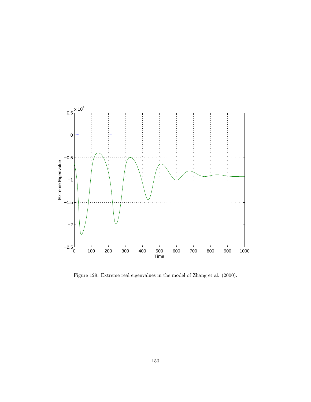

Figure 129: Extreme real eigenvalues in the model of Zhang et al. (2000).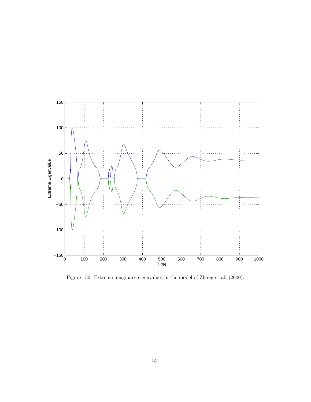

Figure 130: Extreme imaginary eigenvalues in the model of Zhang et al. (2000).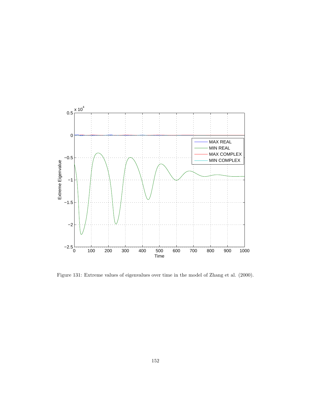

Figure 131: Extreme values of eigenvalues over time in the model of Zhang et al. (2000).